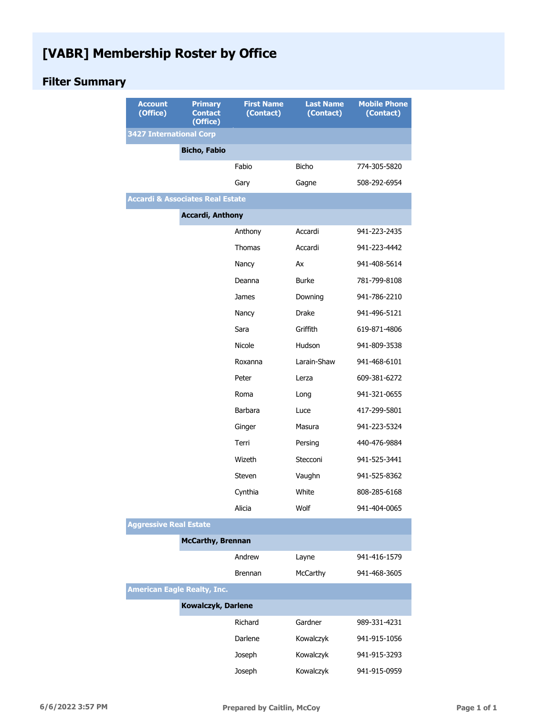## **[VABR] Membership Roster by Office**

## **Filter Summary**

| <b>Account</b><br>(Office)                  | <b>Primary</b><br><b>Contact</b><br>(Office) | <b>First Name</b><br>(Contact) | <b>Last Name</b><br>(Contact) | <b>Mobile Phone</b><br>(Contact) |
|---------------------------------------------|----------------------------------------------|--------------------------------|-------------------------------|----------------------------------|
| <b>3427 International Corp</b>              |                                              |                                |                               |                                  |
|                                             | <b>Bicho, Fabio</b>                          |                                |                               |                                  |
|                                             |                                              | Fabio                          | <b>Bicho</b>                  | 774-305-5820                     |
|                                             |                                              | Gary                           | Gagne                         | 508-292-6954                     |
| <b>Accardi &amp; Associates Real Estate</b> |                                              |                                |                               |                                  |
|                                             | <b>Accardi, Anthony</b>                      |                                |                               |                                  |
|                                             |                                              | Anthony                        | Accardi                       | 941-223-2435                     |
|                                             |                                              | Thomas                         | Accardi                       | 941-223-4442                     |
|                                             |                                              | Nancy                          | Ax                            | 941-408-5614                     |
|                                             |                                              | Deanna                         | <b>Burke</b>                  | 781-799-8108                     |
|                                             |                                              | James                          | Downing                       | 941-786-2210                     |
|                                             |                                              | Nancy                          | <b>Drake</b>                  | 941-496-5121                     |
|                                             |                                              | Sara                           | Griffith                      | 619-871-4806                     |
|                                             |                                              | Nicole                         | Hudson                        | 941-809-3538                     |
|                                             |                                              | Roxanna                        | Larain-Shaw                   | 941-468-6101                     |
|                                             |                                              | Peter                          | Lerza                         | 609-381-6272                     |
|                                             |                                              | Roma                           | Long                          | 941-321-0655                     |
|                                             |                                              | <b>Barbara</b>                 | Luce                          | 417-299-5801                     |
|                                             |                                              | Ginger                         | Masura                        | 941-223-5324                     |
|                                             |                                              | Terri                          | Persing                       | 440-476-9884                     |
|                                             |                                              | Wizeth                         | Stecconi                      | 941-525-3441                     |
|                                             |                                              | Steven                         | Vaughn                        | 941-525-8362                     |
|                                             |                                              | Cynthia                        | White                         | 808-285-6168                     |
|                                             |                                              | Alicia                         | Wolf                          | 941-404-0065                     |
| <b>Aggressive Real Estate</b>               |                                              |                                |                               |                                  |
|                                             | <b>McCarthy, Brennan</b>                     |                                |                               |                                  |
|                                             |                                              | Andrew                         | Layne                         | 941-416-1579                     |
|                                             |                                              | Brennan                        | McCarthy                      | 941-468-3605                     |
| <b>American Eagle Realty, Inc.</b>          |                                              |                                |                               |                                  |
|                                             | Kowalczyk, Darlene                           |                                |                               |                                  |
|                                             |                                              | Richard                        | Gardner                       | 989-331-4231                     |
|                                             |                                              | Darlene                        | Kowalczyk                     | 941-915-1056                     |
|                                             |                                              | Joseph                         | Kowalczyk                     | 941-915-3293                     |
|                                             |                                              | Joseph                         | Kowalczyk                     | 941-915-0959                     |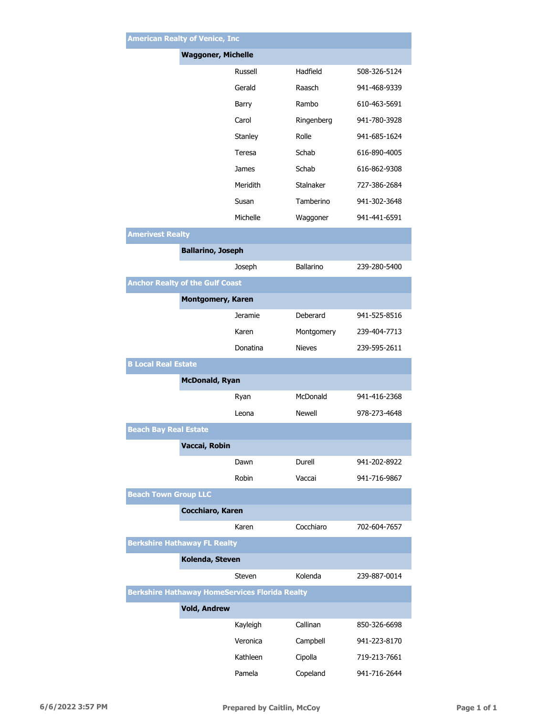|                                                       | <b>American Realty of Venice, Inc</b> |                  |              |  |  |
|-------------------------------------------------------|---------------------------------------|------------------|--------------|--|--|
|                                                       | <b>Waggoner, Michelle</b>             |                  |              |  |  |
|                                                       | Russell                               | Hadfield         | 508-326-5124 |  |  |
|                                                       | Gerald                                | Raasch           | 941-468-9339 |  |  |
|                                                       | Barry                                 | Rambo            | 610-463-5691 |  |  |
|                                                       | Carol                                 | Ringenberg       | 941-780-3928 |  |  |
|                                                       | Stanley                               | Rolle            | 941-685-1624 |  |  |
|                                                       | Teresa                                | Schab            | 616-890-4005 |  |  |
|                                                       | James                                 | Schab            | 616-862-9308 |  |  |
|                                                       | Meridith                              | Stalnaker        | 727-386-2684 |  |  |
|                                                       | Susan                                 | Tamberino        | 941-302-3648 |  |  |
|                                                       | Michelle                              | Waggoner         | 941-441-6591 |  |  |
| <b>Amerivest Realty</b>                               |                                       |                  |              |  |  |
|                                                       | <b>Ballarino, Joseph</b>              |                  |              |  |  |
|                                                       | Joseph                                | <b>Ballarino</b> | 239-280-5400 |  |  |
| <b>Anchor Realty of the Gulf Coast</b>                |                                       |                  |              |  |  |
|                                                       | <b>Montgomery, Karen</b>              |                  |              |  |  |
|                                                       | <b>Jeramie</b>                        | Deberard         | 941-525-8516 |  |  |
|                                                       | Karen                                 | Montgomery       | 239-404-7713 |  |  |
|                                                       | Donatina                              | <b>Nieves</b>    | 239-595-2611 |  |  |
| <b>B Local Real Estate</b>                            |                                       |                  |              |  |  |
|                                                       | <b>McDonald, Ryan</b>                 |                  |              |  |  |
|                                                       | Ryan                                  | McDonald         | 941-416-2368 |  |  |
|                                                       | Leona                                 | Newell           | 978-273-4648 |  |  |
| <b>Beach Bay Real Estate</b>                          |                                       |                  |              |  |  |
|                                                       | Vaccai, Robin                         |                  |              |  |  |
|                                                       | Dawn                                  | Durell           | 941-202-8922 |  |  |
|                                                       | Robin                                 | Vaccai           | 941-716-9867 |  |  |
| <b>Beach Town Group LLC</b>                           |                                       |                  |              |  |  |
|                                                       | Cocchiaro, Karen                      |                  |              |  |  |
|                                                       | Karen                                 | Cocchiaro        | 702-604-7657 |  |  |
| <b>Berkshire Hathaway FL Realty</b>                   |                                       |                  |              |  |  |
|                                                       | Kolenda, Steven                       |                  |              |  |  |
|                                                       | Steven                                | Kolenda          | 239-887-0014 |  |  |
| <b>Berkshire Hathaway HomeServices Florida Realty</b> |                                       |                  |              |  |  |
|                                                       | <b>Vold, Andrew</b>                   | Callinan         | 850-326-6698 |  |  |
|                                                       | Kayleigh<br>Veronica                  | Campbell         | 941-223-8170 |  |  |
|                                                       | Kathleen                              |                  | 719-213-7661 |  |  |
|                                                       |                                       | Cipolla          |              |  |  |
|                                                       | Pamela                                | Copeland         | 941-716-2644 |  |  |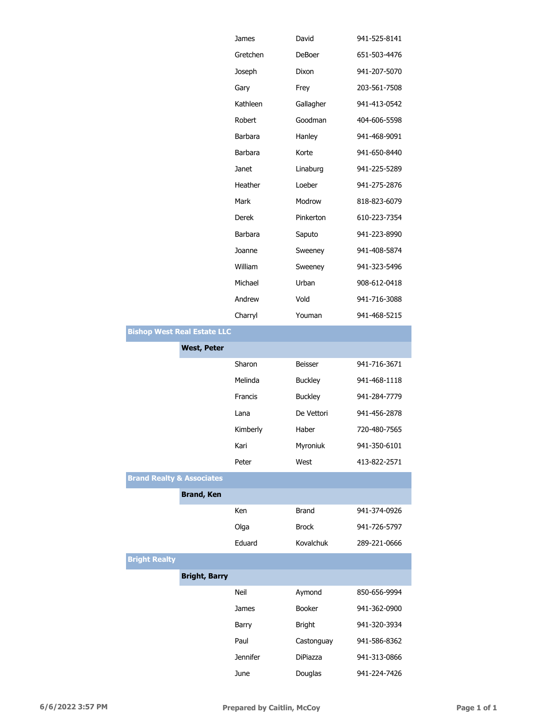|                                      |                                    | James           | David           | 941-525-8141 |
|--------------------------------------|------------------------------------|-----------------|-----------------|--------------|
|                                      |                                    | Gretchen        | DeBoer          | 651-503-4476 |
|                                      |                                    | Joseph          | Dixon           | 941-207-5070 |
|                                      |                                    | Gary            | Frey            | 203-561-7508 |
|                                      |                                    | Kathleen        | Gallagher       | 941-413-0542 |
|                                      |                                    | Robert          | Goodman         | 404-606-5598 |
|                                      |                                    | Barbara         | Hanley          | 941-468-9091 |
|                                      |                                    | Barbara         | Korte           | 941-650-8440 |
|                                      |                                    | Janet           | Linaburg        | 941-225-5289 |
|                                      |                                    | Heather         | Loeber          | 941-275-2876 |
|                                      |                                    | Mark            | Modrow          | 818-823-6079 |
|                                      |                                    | Derek           | Pinkerton       | 610-223-7354 |
|                                      |                                    | Barbara         | Saputo          | 941-223-8990 |
|                                      |                                    | Joanne          | Sweeney         | 941-408-5874 |
|                                      |                                    | William         | Sweeney         | 941-323-5496 |
|                                      |                                    | Michael         | Urban           | 908-612-0418 |
|                                      |                                    | Andrew          | Vold            | 941-716-3088 |
|                                      |                                    | Charryl         | Youman          | 941-468-5215 |
|                                      | <b>Bishop West Real Estate LLC</b> |                 |                 |              |
|                                      | <b>West, Peter</b>                 |                 |                 |              |
|                                      |                                    | Sharon          | Beisser         | 941-716-3671 |
|                                      |                                    | Melinda         | <b>Buckley</b>  | 941-468-1118 |
|                                      |                                    | Francis         | <b>Buckley</b>  | 941-284-7779 |
|                                      |                                    | Lana            | De Vettori      | 941-456-2878 |
|                                      |                                    | Kimberly        | Haber           | 720-480-7565 |
|                                      |                                    | Kari            | Myroniuk        | 941-350-6101 |
|                                      |                                    | Peter           | West            | 413-822-2571 |
| <b>Brand Realty &amp; Associates</b> |                                    |                 |                 |              |
|                                      | <b>Brand, Ken</b>                  |                 |                 |              |
|                                      |                                    | Ken             | <b>Brand</b>    | 941-374-0926 |
|                                      |                                    | Olga            | <b>Brock</b>    | 941-726-5797 |
|                                      |                                    | Eduard          | Kovalchuk       | 289-221-0666 |
| <b>Bright Realty</b>                 |                                    |                 |                 |              |
|                                      | <b>Bright, Barry</b>               |                 |                 |              |
|                                      |                                    | Neil            | Aymond          | 850-656-9994 |
|                                      |                                    | James           | <b>Booker</b>   | 941-362-0900 |
|                                      |                                    | Barry           | <b>Bright</b>   | 941-320-3934 |
|                                      |                                    | Paul            | Castonguay      | 941-586-8362 |
|                                      |                                    | <b>Jennifer</b> | <b>DiPiazza</b> | 941-313-0866 |
|                                      |                                    | June            | Douglas         | 941-224-7426 |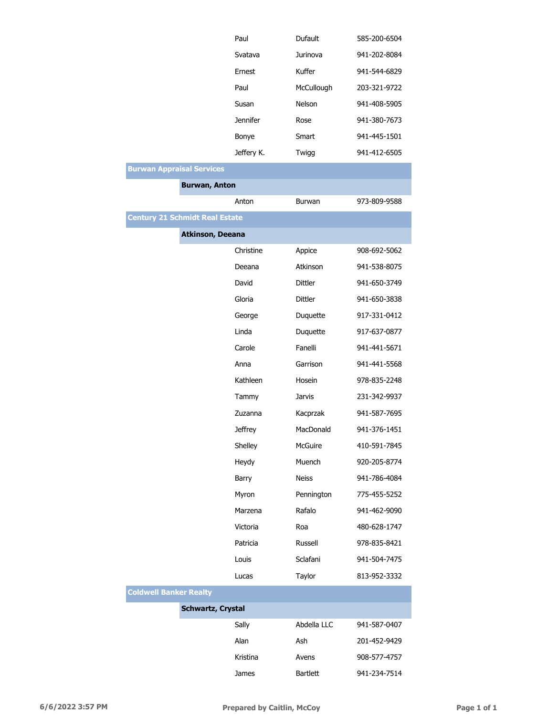|                                       | Paul                     | Dufault       | 585-200-6504 |
|---------------------------------------|--------------------------|---------------|--------------|
|                                       | Svatava                  | Jurinova      | 941-202-8084 |
|                                       | Ernest                   | Kuffer        | 941-544-6829 |
|                                       | Paul                     | McCullough    | 203-321-9722 |
|                                       | Susan                    | Nelson        | 941-408-5905 |
|                                       | <b>Jennifer</b>          | Rose          | 941-380-7673 |
|                                       | Bonye                    | Smart         | 941-445-1501 |
|                                       | Jeffery K.               | Twigg         | 941-412-6505 |
| <b>Burwan Appraisal Services</b>      |                          |               |              |
| <b>Burwan, Anton</b>                  |                          |               |              |
|                                       | Anton                    | <b>Burwan</b> | 973-809-9588 |
| <b>Century 21 Schmidt Real Estate</b> |                          |               |              |
|                                       | <b>Atkinson, Deeana</b>  |               |              |
|                                       | Christine                | Appice        | 908-692-5062 |
|                                       | Deeana                   | Atkinson      | 941-538-8075 |
|                                       | David                    | Dittler       | 941-650-3749 |
|                                       | Gloria                   | Dittler       | 941-650-3838 |
|                                       | George                   | Duquette      | 917-331-0412 |
|                                       | Linda                    | Duquette      | 917-637-0877 |
|                                       | Carole                   | Fanelli       | 941-441-5671 |
|                                       | Anna                     | Garrison      | 941-441-5568 |
|                                       | Kathleen                 | Hosein        | 978-835-2248 |
|                                       | Tammy                    | Jarvis        | 231-342-9937 |
|                                       | Zuzanna                  | Kacprzak      | 941-587-7695 |
|                                       | <b>Jeffrey</b>           | MacDonald     | 941-376-1451 |
|                                       | Shelley                  | McGuire       | 410-591-7845 |
|                                       | Heydy                    | Muench        | 920-205-8774 |
|                                       | Barry                    | <b>Neiss</b>  | 941-786-4084 |
|                                       | Myron                    | Pennington    | 775-455-5252 |
|                                       | Marzena                  | Rafalo        | 941-462-9090 |
|                                       | Victoria                 | Roa           | 480-628-1747 |
|                                       | Patricia                 | Russell       | 978-835-8421 |
|                                       | Louis                    | Sclafani      | 941-504-7475 |
|                                       | Lucas                    | Taylor        | 813-952-3332 |
| <b>Coldwell Banker Realty</b>         |                          |               |              |
|                                       | <b>Schwartz, Crystal</b> |               |              |
|                                       | Sally                    | Abdella LLC   | 941-587-0407 |
|                                       | Alan                     | Ash           | 201-452-9429 |
|                                       | Kristina                 | Avens         | 908-577-4757 |

James Bartlett 941-234-7514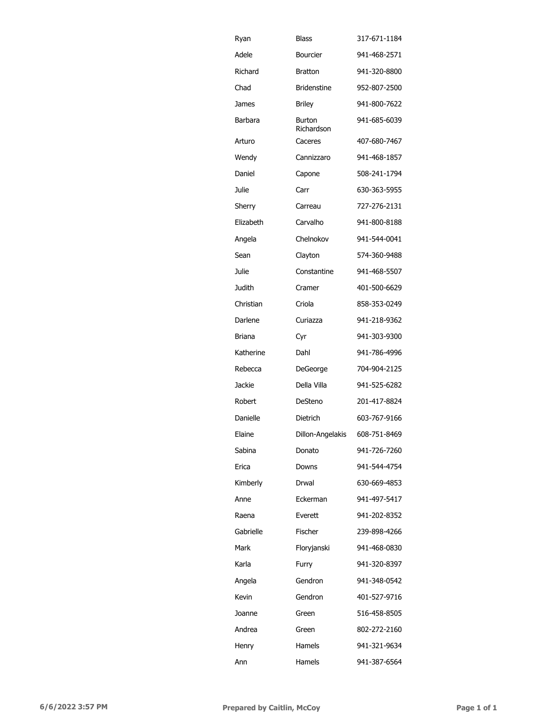| Ryan      | Blass                       | 317-671-1184 |
|-----------|-----------------------------|--------------|
| Adele     | Bourcier                    | 941-468-2571 |
| Richard   | <b>Bratton</b>              | 941-320-8800 |
| Chad      | <b>Bridenstine</b>          | 952-807-2500 |
| James     | <b>Briley</b>               | 941-800-7622 |
| Barbara   | <b>Burton</b><br>Richardson | 941-685-6039 |
| Arturo    | Caceres                     | 407-680-7467 |
| Wendy     | Cannizzaro                  | 941-468-1857 |
| Daniel    | Capone                      | 508-241-1794 |
| Julie     | Carr                        | 630-363-5955 |
| Sherry    | Carreau                     | 727-276-2131 |
| Elizabeth | Carvalho                    | 941-800-8188 |
| Angela    | Chelnokov                   | 941-544-0041 |
| Sean      | Clayton                     | 574-360-9488 |
| Julie     | Constantine                 | 941-468-5507 |
| Judith    | Cramer                      | 401-500-6629 |
| Christian | Criola                      | 858-353-0249 |
| Darlene   | Curiazza                    | 941-218-9362 |
| Briana    | Cyr                         | 941-303-9300 |
| Katherine | Dahl                        | 941-786-4996 |
| Rebecca   | DeGeorge                    | 704-904-2125 |
| Jackie    | Della Villa                 | 941-525-6282 |
| Robert    | DeSteno                     | 201-417-8824 |
| Danielle  | Dietrich                    | 603-767-9166 |
| Elaine    | Dillon-Angelakis            | 608-751-8469 |
| Sabina    | Donato                      | 941-726-7260 |
| Erica     | Downs                       | 941-544-4754 |
| Kimberly  | Drwal                       | 630-669-4853 |
| Anne      | Eckerman                    | 941-497-5417 |
| Raena     | Everett                     | 941-202-8352 |
| Gabrielle | Fischer                     | 239-898-4266 |
| Mark      | Floryjanski                 | 941-468-0830 |
| Karla     | Furry                       | 941-320-8397 |
| Angela    | Gendron                     | 941-348-0542 |
| Kevin     | Gendron                     | 401-527-9716 |
| Joanne    | Green                       | 516-458-8505 |
| Andrea    | Green                       | 802-272-2160 |
| Henry     | Hamels                      | 941-321-9634 |
| Ann       | Hamels                      | 941-387-6564 |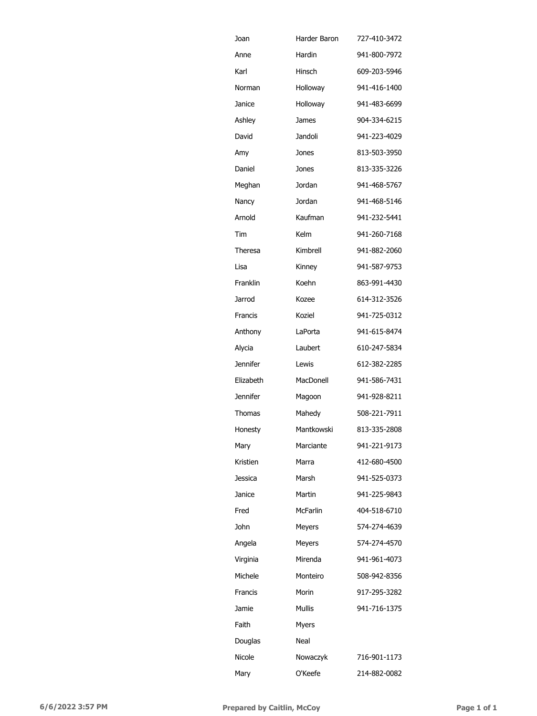| Joan            | Harder Baron | 727-410-3472 |
|-----------------|--------------|--------------|
| Anne            | Hardin       | 941-800-7972 |
| Karl            | Hinsch       | 609-203-5946 |
| Norman          | Holloway     | 941-416-1400 |
| Janice          | Holloway     | 941-483-6699 |
| Ashley          | James        | 904-334-6215 |
| David           | Jandoli      | 941-223-4029 |
| Amy             | Jones        | 813-503-3950 |
| Daniel          | Jones        | 813-335-3226 |
| Meghan          | Jordan       | 941-468-5767 |
| Nancy           | Jordan       | 941-468-5146 |
| Arnold          | Kaufman      | 941-232-5441 |
| Tim             | Kelm         | 941-260-7168 |
| Theresa         | Kimbrell     | 941-882-2060 |
| Lisa            | Kinnev       | 941-587-9753 |
| Franklin        | Koehn        | 863-991-4430 |
| Jarrod          | Kozee        | 614-312-3526 |
| Francis         | Koziel       | 941-725-0312 |
| Anthony         | LaPorta      | 941-615-8474 |
| Alycia          | Laubert      | 610-247-5834 |
| <b>Jennifer</b> | Lewis        | 612-382-2285 |
| Elizabeth       | MacDonell    | 941-586-7431 |
|                 |              |              |
| <b>Jennifer</b> | Magoon       | 941-928-8211 |
| Thomas          | Mahedy       | 508-221-7911 |
| Honesty         | Mantkowski   | 813-335-2808 |
| Mary            | Marciante    | 941-221-9173 |
| Kristien        | Marra        | 412-680-4500 |
| <b>Jessica</b>  | Marsh        | 941-525-0373 |
| Janice          | Martin       | 941-225-9843 |
| Fred            | McFarlin     | 404-518-6710 |
| John            | Meyers       | 574-274-4639 |
| Angela          | Meyers       | 574-274-4570 |
| Virginia        | Mirenda      | 941-961-4073 |
| Michele         | Monteiro     | 508-942-8356 |
| Francis         | Morin        | 917-295-3282 |
| Jamie           | Mullis       | 941-716-1375 |
| Faith           | <b>Myers</b> |              |
| Douglas         | Neal         |              |
| Nicole          | Nowaczyk     | 716-901-1173 |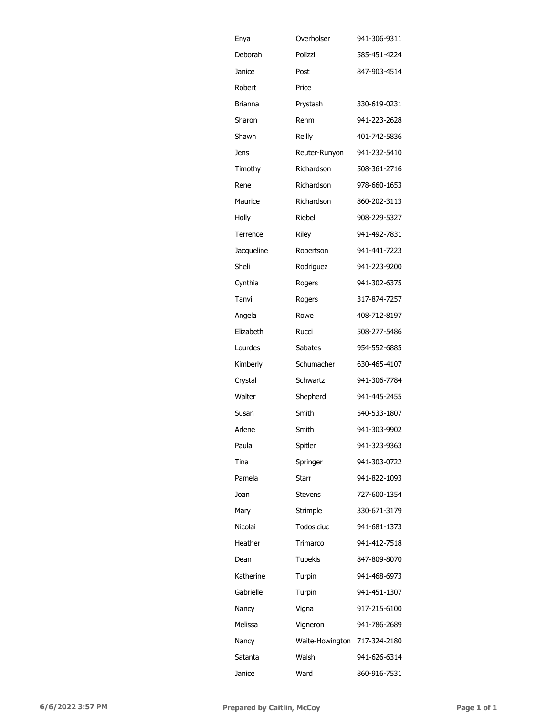| Enya       | Overholser      | 941-306-9311 |
|------------|-----------------|--------------|
| Deborah    | Polizzi         | 585-451-4224 |
| Janice     | Post            | 847-903-4514 |
| Robert     | Price           |              |
| Brianna    | Prystash        | 330-619-0231 |
| Sharon     | Rehm            | 941-223-2628 |
| Shawn      | Reilly          | 401-742-5836 |
| Jens       | Reuter-Runyon   | 941-232-5410 |
| Timothy    | Richardson      | 508-361-2716 |
| Rene       | Richardson      | 978-660-1653 |
| Maurice    | Richardson      | 860-202-3113 |
| Holly      | Riebel          | 908-229-5327 |
| Terrence   | Riley           | 941-492-7831 |
| Jacqueline | Robertson       | 941-441-7223 |
| Sheli      | Rodriguez       | 941-223-9200 |
| Cynthia    | Rogers          | 941-302-6375 |
| Tanvi      | Rogers          | 317-874-7257 |
| Angela     | Rowe            | 408-712-8197 |
| Elizabeth  | Rucci           | 508-277-5486 |
| Lourdes    | Sabates         | 954-552-6885 |
| Kimberly   | Schumacher      | 630-465-4107 |
| Crystal    | Schwartz        | 941-306-7784 |
| Walter     | Shepherd        | 941-445-2455 |
| Susan      | Smith           | 540-533-1807 |
| Arlene     | Smith           | 941-303-9902 |
| Paula      | Spitler         | 941-323-9363 |
| Tina       | Springer        | 941-303-0722 |
| Pamela     | Starr           | 941-822-1093 |
| Joan       | <b>Stevens</b>  | 727-600-1354 |
| Mary       | Strimple        | 330-671-3179 |
| Nicolai    | Todosiciuc      | 941-681-1373 |
| Heather    | Trimarco        | 941-412-7518 |
| Dean       | Tubekis         | 847-809-8070 |
| Katherine  | Turpin          | 941-468-6973 |
| Gabrielle  | Turpin          | 941-451-1307 |
| Nancy      | Vigna           | 917-215-6100 |
| Melissa    | Vigneron        | 941-786-2689 |
| Nancy      | Waite-Howington | 717-324-2180 |
| Satanta    | Walsh           | 941-626-6314 |
| Janice     | Ward            | 860-916-7531 |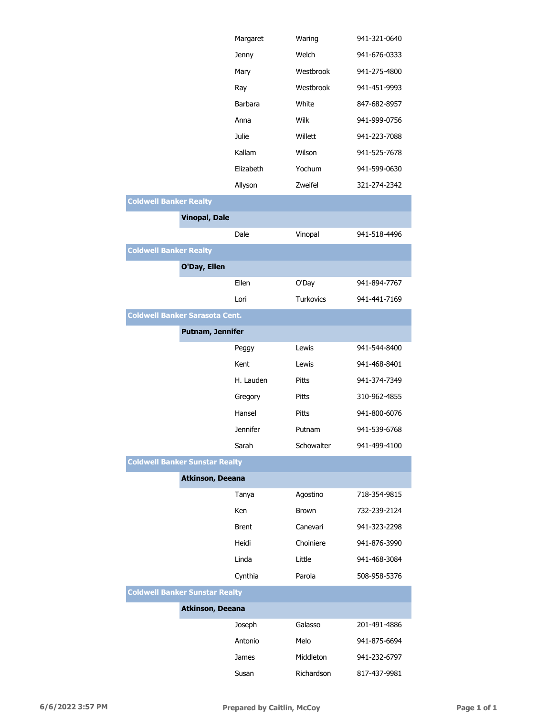|                                       |                         | Margaret        | Waring       | 941-321-0640 |
|---------------------------------------|-------------------------|-----------------|--------------|--------------|
|                                       |                         | Jenny           | Welch        | 941-676-0333 |
|                                       |                         | Mary            | Westbrook    | 941-275-4800 |
|                                       |                         | Ray             | Westbrook    | 941-451-9993 |
|                                       |                         | <b>Barbara</b>  | White        | 847-682-8957 |
|                                       |                         | Anna            | Wilk         | 941-999-0756 |
|                                       |                         | Julie           | Willett      | 941-223-7088 |
|                                       |                         | Kallam          | Wilson       | 941-525-7678 |
|                                       |                         | Elizabeth       | Yochum       | 941-599-0630 |
|                                       |                         | Allyson         | Zweifel      | 321-274-2342 |
| <b>Coldwell Banker Realty</b>         |                         |                 |              |              |
|                                       | <b>Vinopal, Dale</b>    |                 |              |              |
|                                       |                         | Dale            | Vinopal      | 941-518-4496 |
| <b>Coldwell Banker Realty</b>         |                         |                 |              |              |
|                                       | O'Day, Ellen            |                 |              |              |
|                                       |                         | Ellen           | O'Day        | 941-894-7767 |
|                                       |                         | Lori            | Turkovics    | 941-441-7169 |
| <b>Coldwell Banker Sarasota Cent.</b> |                         |                 |              |              |
|                                       | <b>Putnam, Jennifer</b> |                 |              |              |
|                                       |                         | Peggy           | Lewis        | 941-544-8400 |
|                                       |                         | Kent            | Lewis        | 941-468-8401 |
|                                       |                         | H. Lauden       | Pitts        | 941-374-7349 |
|                                       |                         | Gregory         | Pitts        | 310-962-4855 |
|                                       |                         | Hansel          | Pitts        | 941-800-6076 |
|                                       |                         | <b>Jennifer</b> | Putnam       | 941-539-6768 |
|                                       |                         | Sarah           | Schowalter   | 941-499-4100 |
| <b>Coldwell Banker Sunstar Realty</b> |                         |                 |              |              |
|                                       | Atkinson, Deeana        |                 |              |              |
|                                       |                         | Tanya           | Agostino     | 718-354-9815 |
|                                       |                         | Ken             | <b>Brown</b> | 732-239-2124 |
|                                       |                         | <b>Brent</b>    | Canevari     | 941-323-2298 |
|                                       |                         | Heidi           | Choiniere    | 941-876-3990 |
|                                       |                         | Linda           | Little       | 941-468-3084 |
|                                       |                         | Cynthia         | Parola       | 508-958-5376 |
| <b>Coldwell Banker Sunstar Realty</b> |                         |                 |              |              |
|                                       | <b>Atkinson, Deeana</b> |                 |              |              |
|                                       |                         | Joseph          | Galasso      | 201-491-4886 |
|                                       |                         | Antonio         | Melo         | 941-875-6694 |
|                                       |                         | James           | Middleton    | 941-232-6797 |
|                                       |                         | Susan           | Richardson   | 817-437-9981 |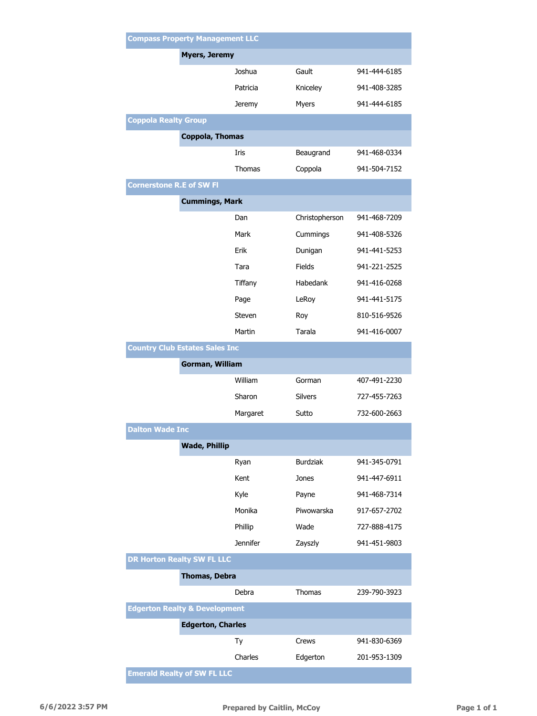| <b>Compass Property Management LLC</b>   |                          |                 |              |  |
|------------------------------------------|--------------------------|-----------------|--------------|--|
| <b>Myers, Jeremy</b>                     |                          |                 |              |  |
|                                          | Joshua                   | Gault           | 941-444-6185 |  |
|                                          | Patricia                 | Kniceley        | 941-408-3285 |  |
|                                          | Jeremy                   | Myers           | 941-444-6185 |  |
| <b>Coppola Realty Group</b>              |                          |                 |              |  |
|                                          | <b>Coppola, Thomas</b>   |                 |              |  |
|                                          | Iris                     | Beaugrand       | 941-468-0334 |  |
|                                          | Thomas                   | Coppola         | 941-504-7152 |  |
| <b>Cornerstone R.E of SW FI</b>          |                          |                 |              |  |
|                                          | <b>Cummings, Mark</b>    |                 |              |  |
|                                          | Dan                      | Christopherson  | 941-468-7209 |  |
|                                          | Mark                     | Cummings        | 941-408-5326 |  |
|                                          | Erik                     | Dunigan         | 941-441-5253 |  |
|                                          | Tara                     | <b>Fields</b>   | 941-221-2525 |  |
|                                          | Tiffany                  | Habedank        | 941-416-0268 |  |
|                                          | Page                     | LeRoy           | 941-441-5175 |  |
|                                          | <b>Steven</b>            | Roy             | 810-516-9526 |  |
|                                          | Martin                   | Tarala          | 941-416-0007 |  |
| <b>Country Club Estates Sales Inc</b>    |                          |                 |              |  |
|                                          | <b>Gorman, William</b>   |                 |              |  |
|                                          | William                  | Gorman          | 407-491-2230 |  |
|                                          | Sharon                   | <b>Silvers</b>  | 727-455-7263 |  |
|                                          | Margaret                 | Sutto           | 732-600-2663 |  |
| <b>Dalton Wade Inc</b>                   |                          |                 |              |  |
|                                          | <b>Wade, Phillip</b>     |                 |              |  |
|                                          | Ryan                     | <b>Burdziak</b> | 941-345-0791 |  |
|                                          | Kent                     | Jones           | 941-447-6911 |  |
|                                          | Kyle                     | Payne           | 941-468-7314 |  |
|                                          | Monika                   | Piwowarska      | 917-657-2702 |  |
|                                          | Phillip                  | Wade            | 727-888-4175 |  |
|                                          | <b>Jennifer</b>          | Zayszly         | 941-451-9803 |  |
| <b>DR Horton Realty SW FL LLC</b>        |                          |                 |              |  |
|                                          | <b>Thomas, Debra</b>     |                 |              |  |
|                                          | Debra                    | Thomas          | 239-790-3923 |  |
| <b>Edgerton Realty &amp; Development</b> |                          |                 |              |  |
|                                          | <b>Edgerton, Charles</b> |                 |              |  |
|                                          | Тy                       | Crews           | 941-830-6369 |  |
|                                          | Charles                  | Edgerton        | 201-953-1309 |  |
| <b>Emerald Realty of SW FL LLC</b>       |                          |                 |              |  |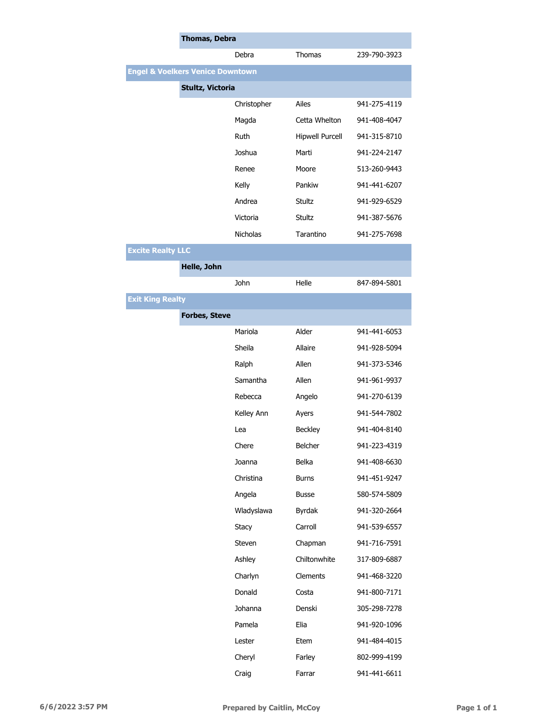|                          | <b>Thomas, Debra</b>                        |                 |                        |              |  |
|--------------------------|---------------------------------------------|-----------------|------------------------|--------------|--|
|                          |                                             | Debra           | Thomas                 | 239-790-3923 |  |
|                          | <b>Engel &amp; Voelkers Venice Downtown</b> |                 |                        |              |  |
|                          | Stultz, Victoria                            |                 |                        |              |  |
|                          |                                             | Christopher     | Ailes                  | 941-275-4119 |  |
|                          |                                             | Magda           | Cetta Whelton          | 941-408-4047 |  |
|                          |                                             | Ruth            | <b>Hipwell Purcell</b> | 941-315-8710 |  |
|                          |                                             | Joshua          | Marti                  | 941-224-2147 |  |
|                          |                                             | Renee           | Moore                  | 513-260-9443 |  |
|                          |                                             | Kelly           | Pankiw                 | 941-441-6207 |  |
|                          |                                             | Andrea          | Stultz                 | 941-929-6529 |  |
|                          |                                             | Victoria        | Stultz                 | 941-387-5676 |  |
|                          |                                             | <b>Nicholas</b> | Tarantino              | 941-275-7698 |  |
| <b>Excite Realty LLC</b> |                                             |                 |                        |              |  |
|                          | Helle, John                                 |                 |                        |              |  |
|                          |                                             | John            | Helle                  | 847-894-5801 |  |
| <b>Exit King Realty</b>  |                                             |                 |                        |              |  |
|                          | <b>Forbes, Steve</b>                        |                 |                        |              |  |
|                          |                                             | Mariola         | Alder                  | 941-441-6053 |  |
|                          |                                             | Sheila          | Allaire                | 941-928-5094 |  |
|                          |                                             | Ralph           | Allen                  | 941-373-5346 |  |
|                          |                                             | Samantha        | Allen                  | 941-961-9937 |  |
|                          |                                             | Rebecca         | Angelo                 | 941-270-6139 |  |
|                          |                                             | Kelley Ann      | Ayers                  | 941-544-7802 |  |
|                          |                                             | Lea             | <b>Beckley</b>         | 941-404-8140 |  |
|                          |                                             | Chere           | Belcher                | 941-223-4319 |  |
|                          |                                             | Joanna          | Belka                  | 941-408-6630 |  |
|                          |                                             | Christina       | <b>Burns</b>           | 941-451-9247 |  |
|                          |                                             | Angela          | <b>Busse</b>           | 580-574-5809 |  |
|                          |                                             | Wladyslawa      | <b>Byrdak</b>          | 941-320-2664 |  |
|                          |                                             | Stacy           | Carroll                | 941-539-6557 |  |
|                          |                                             | Steven          | Chapman                | 941-716-7591 |  |
|                          |                                             | Ashley          | Chiltonwhite           | 317-809-6887 |  |
|                          |                                             | Charlyn         | Clements               | 941-468-3220 |  |
|                          |                                             | Donald          | Costa                  | 941-800-7171 |  |
|                          |                                             | Johanna         | Denski                 | 305-298-7278 |  |
|                          |                                             | Pamela          | Elia                   | 941-920-1096 |  |
|                          |                                             | Lester          | Etem                   | 941-484-4015 |  |
|                          |                                             | Cheryl          | Farley                 | 802-999-4199 |  |
|                          |                                             | Craig           | Farrar                 | 941-441-6611 |  |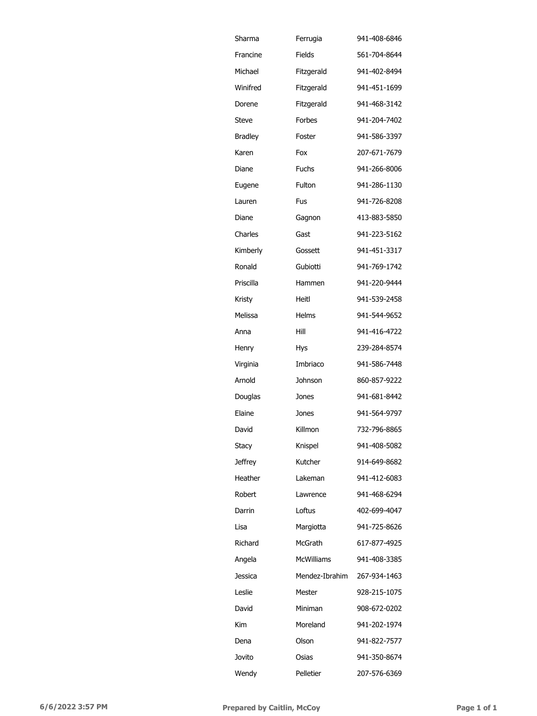| Sharma         | Ferrugia          | 941-408-6846 |
|----------------|-------------------|--------------|
| Francine       | Fields            | 561-704-8644 |
| Michael        | Fitzgerald        | 941-402-8494 |
| Winifred       | Fitzgerald        | 941-451-1699 |
| Dorene         | Fitzgerald        | 941-468-3142 |
| Steve          | Forbes            | 941-204-7402 |
| <b>Bradley</b> | Foster            | 941-586-3397 |
| Karen          | Fox               | 207-671-7679 |
| Diane          | Fuchs             | 941-266-8006 |
| Eugene         | Fulton            | 941-286-1130 |
| Lauren         | Fus               | 941-726-8208 |
| Diane          | Gagnon            | 413-883-5850 |
| Charles        | Gast              | 941-223-5162 |
| Kimberly       | Gossett           | 941-451-3317 |
| Ronald         | Gubiotti          | 941-769-1742 |
| Priscilla      | Hammen            | 941-220-9444 |
| Kristy         | Heitl             | 941-539-2458 |
| Melissa        | Helms             | 941-544-9652 |
| Anna           | Hill              | 941-416-4722 |
| Henry          | Hys               | 239-284-8574 |
| Virginia       | Imbriaco          | 941-586-7448 |
| Arnold         | Johnson           | 860-857-9222 |
| Douglas        | Jones             | 941-681-8442 |
| Elaine         | Jones             | 941-564-9797 |
| David          | Killmon           | 732-796-8865 |
| Stacy          | Knispel           | 941-408-5082 |
| Jeffrey        | Kutcher           | 914-649-8682 |
| Heather        | Lakeman           | 941-412-6083 |
| Robert         | Lawrence          | 941-468-6294 |
| Darrin         | Loftus            | 402-699-4047 |
| Lisa           | Margiotta         | 941-725-8626 |
| Richard        | McGrath           | 617-877-4925 |
| Angela         | <b>McWilliams</b> | 941-408-3385 |
| Jessica        | Mendez-Ibrahim    | 267-934-1463 |
| Leslie         | Mester            | 928-215-1075 |
| David          | Miniman           | 908-672-0202 |
| Kim            | Moreland          | 941-202-1974 |
| Dena           | Olson             | 941-822-7577 |
| Jovito         | Osias             | 941-350-8674 |
| Wendy          | Pelletier         | 207-576-6369 |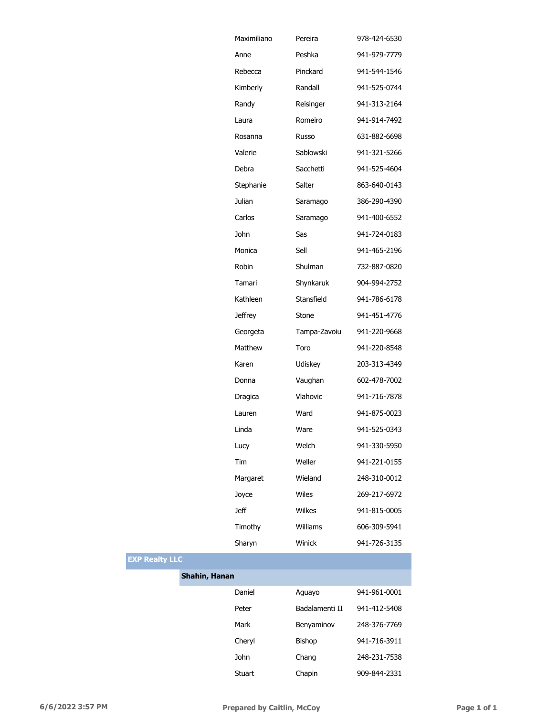|               | Maximiliano    | Pereira        | 978-424-6530 |
|---------------|----------------|----------------|--------------|
|               | Anne           | Peshka         | 941-979-7779 |
|               | Rebecca        | Pinckard       | 941-544-1546 |
|               | Kimberly       | Randall        | 941-525-0744 |
|               | Randy          | Reisinger      | 941-313-2164 |
|               | Laura          | Romeiro        | 941-914-7492 |
|               | Rosanna        | Russo          | 631-882-6698 |
|               | Valerie        | Sablowski      | 941-321-5266 |
|               | Debra          | Sacchetti      | 941-525-4604 |
|               | Stephanie      | Salter         | 863-640-0143 |
|               | Julian         | Saramago       | 386-290-4390 |
|               | Carlos         | Saramago       | 941-400-6552 |
|               | <b>John</b>    | Sas            | 941-724-0183 |
|               | Monica         | Sell           | 941-465-2196 |
|               | Robin          | Shulman        | 732-887-0820 |
|               | Tamari         | Shynkaruk      | 904-994-2752 |
|               | Kathleen       | Stansfield     | 941-786-6178 |
|               | <b>Jeffrey</b> | Stone          | 941-451-4776 |
|               | Georgeta       | Tampa-Zavoiu   | 941-220-9668 |
|               | Matthew        | Toro           | 941-220-8548 |
|               | Karen          | Udiskey        | 203-313-4349 |
|               | Donna          | Vaughan        | 602-478-7002 |
|               | Dragica        | Vlahovic       | 941-716-7878 |
|               | Lauren         | Ward           | 941-875-0023 |
|               | Linda          | Ware           | 941-525-0343 |
|               | Lucy           | Welch          | 941-330-5950 |
|               | Tim            | Weller         | 941-221-0155 |
|               | Margaret       | Wieland        | 248-310-0012 |
|               | Joyce          | Wiles          | 269-217-6972 |
|               | <b>Jeff</b>    | <b>Wilkes</b>  | 941-815-0005 |
|               | Timothy        | Williams       | 606-309-5941 |
|               | Sharyn         | Winick         | 941-726-3135 |
| с             |                |                |              |
| Shahin, Hanan |                |                |              |
|               | Daniel         | Aguayo         | 941-961-0001 |
|               | Peter          | Badalamenti II | 941-412-5408 |
|               | Mark           | Benyaminov     | 248-376-7769 |
|               | Cheryl         | Bishop         | 941-716-3911 |

**EXP Realty LLC**

John Chang 248-231-7538 Stuart Chapin 909-844-2331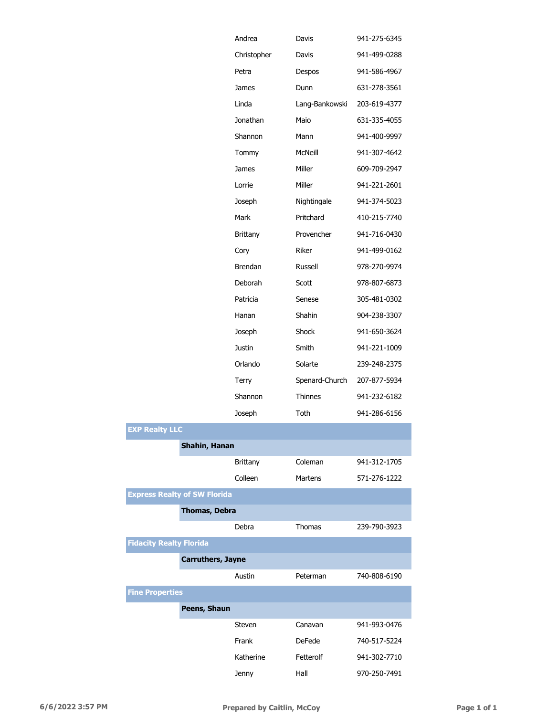|     |                      | Andrea          | Davis          | 941-275-6345 |
|-----|----------------------|-----------------|----------------|--------------|
|     |                      | Christopher     | Davis          | 941-499-0288 |
|     |                      | Petra           | Despos         | 941-586-4967 |
|     |                      | James           | Dunn           | 631-278-3561 |
|     |                      | Linda           | Lang-Bankowski | 203-619-4377 |
|     |                      | Jonathan        | Maio           | 631-335-4055 |
|     |                      | Shannon         | Mann           | 941-400-9997 |
|     |                      | Tommy           | McNeill        | 941-307-4642 |
|     |                      | James           | Miller         | 609-709-2947 |
|     |                      | Lorrie          | Miller         | 941-221-2601 |
|     |                      | Joseph          | Nightingale    | 941-374-5023 |
|     |                      | Mark            | Pritchard      | 410-215-7740 |
|     |                      | <b>Brittany</b> | Provencher     | 941-716-0430 |
|     |                      | Cory            | Riker          | 941-499-0162 |
|     |                      | <b>Brendan</b>  | Russell        | 978-270-9974 |
|     |                      | Deborah         | Scott          | 978-807-6873 |
|     |                      | Patricia        | Senese         | 305-481-0302 |
|     |                      | Hanan           | Shahin         | 904-238-3307 |
|     |                      | Joseph          | Shock          | 941-650-3624 |
|     |                      | Justin          | Smith          | 941-221-1009 |
|     |                      | Orlando         | Solarte        | 239-248-2375 |
|     |                      | Terry           | Spenard-Church | 207-877-5934 |
|     |                      | Shannon         | Thinnes        | 941-232-6182 |
|     |                      | Joseph          | Toth           | 941-286-6156 |
| LLC |                      |                 |                |              |
|     | Shahin, Hanan        |                 |                |              |
|     |                      | <b>Brittany</b> | Coleman        | 941-312-1705 |
|     |                      | Colleen         | <b>Martens</b> | 571-276-1222 |
|     | alty of SW Florida   |                 |                |              |
|     | <b>Thomas, Debra</b> |                 |                |              |
|     |                      | Dohro           | Thomac         | כרחכ חחד חכר |

|                                     |                          | <b>Brittany</b> | Coleman       | 941-312-1705 |
|-------------------------------------|--------------------------|-----------------|---------------|--------------|
|                                     |                          | Colleen         | Martens       | 571-276-1222 |
| <b>Express Realty of SW Florida</b> |                          |                 |               |              |
|                                     | Thomas, Debra            |                 |               |              |
|                                     |                          | Debra           | Thomas        | 239-790-3923 |
| <b>Fidacity Realty Florida</b>      |                          |                 |               |              |
|                                     | <b>Carruthers, Jayne</b> |                 |               |              |
|                                     |                          | Austin          | Peterman      | 740-808-6190 |
| <b>Fine Properties</b>              |                          |                 |               |              |
|                                     | Peens, Shaun             |                 |               |              |
|                                     |                          | Steven          | Canavan       | 941-993-0476 |
|                                     |                          | Frank           | <b>DeFede</b> | 740-517-5224 |
|                                     |                          | Katherine       | Fetterolf     | 941-302-7710 |
|                                     |                          | Jenny           | Hall          | 970-250-7491 |

**EXP Realty**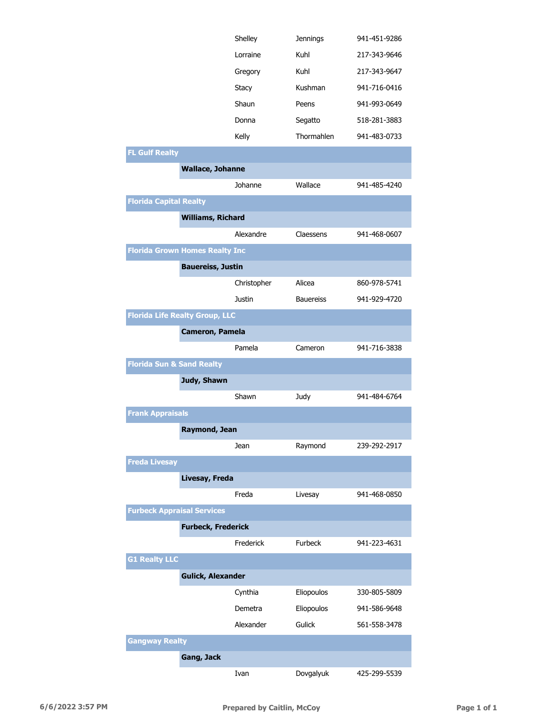|                                       |                           | Shelley       | <b>Jennings</b>  | 941-451-9286 |
|---------------------------------------|---------------------------|---------------|------------------|--------------|
|                                       |                           | Lorraine      | Kuhl             | 217-343-9646 |
|                                       |                           | Gregory       | Kuhl             | 217-343-9647 |
|                                       |                           | <b>Stacy</b>  | Kushman          | 941-716-0416 |
|                                       |                           | Shaun         | Peens            | 941-993-0649 |
|                                       |                           | Donna         | Segatto          | 518-281-3883 |
|                                       |                           | Kelly         | Thormahlen       | 941-483-0733 |
| <b>FL Gulf Realty</b>                 |                           |               |                  |              |
|                                       | <b>Wallace, Johanne</b>   |               |                  |              |
|                                       |                           | Johanne       | Wallace          | 941-485-4240 |
| <b>Florida Capital Realty</b>         |                           |               |                  |              |
|                                       | <b>Williams, Richard</b>  |               |                  |              |
|                                       |                           | Alexandre     | Claessens        | 941-468-0607 |
| <b>Florida Grown Homes Realty Inc</b> |                           |               |                  |              |
|                                       | <b>Bauereiss, Justin</b>  |               |                  |              |
|                                       |                           | Christopher   | Alicea           | 860-978-5741 |
|                                       |                           | <b>Justin</b> | <b>Bauereiss</b> | 941-929-4720 |
| <b>Florida Life Realty Group, LLC</b> |                           |               |                  |              |
|                                       | Cameron, Pamela           |               |                  |              |
|                                       |                           | Pamela        | Cameron          | 941-716-3838 |
| <b>Florida Sun &amp; Sand Realty</b>  |                           |               |                  |              |
|                                       | Judy, Shawn               |               |                  |              |
|                                       |                           | Shawn         | Judy             | 941-484-6764 |
| <b>Frank Appraisals</b>               |                           |               |                  |              |
|                                       | Raymond, Jean             |               |                  |              |
|                                       |                           | Jean          | Raymond          | 239-292-2917 |
| <b>Freda Livesay</b>                  |                           |               |                  |              |
|                                       | Livesay, Freda            |               |                  |              |
|                                       |                           | Freda         | Livesay          | 941-468-0850 |
| <b>Furbeck Appraisal Services</b>     |                           |               |                  |              |
|                                       | <b>Furbeck, Frederick</b> |               |                  |              |
|                                       |                           | Frederick     | Furbeck          | 941-223-4631 |
| <b>G1 Realty LLC</b>                  |                           |               |                  |              |
|                                       | <b>Gulick, Alexander</b>  |               |                  |              |
|                                       |                           | Cynthia       | Eliopoulos       | 330-805-5809 |
|                                       |                           | Demetra       | Eliopoulos       | 941-586-9648 |
|                                       |                           | Alexander     | Gulick           | 561-558-3478 |
| <b>Gangway Realty</b>                 |                           |               |                  |              |
|                                       | <b>Gang, Jack</b>         |               |                  |              |
|                                       |                           | Ivan          | Dovgalyuk        | 425-299-5539 |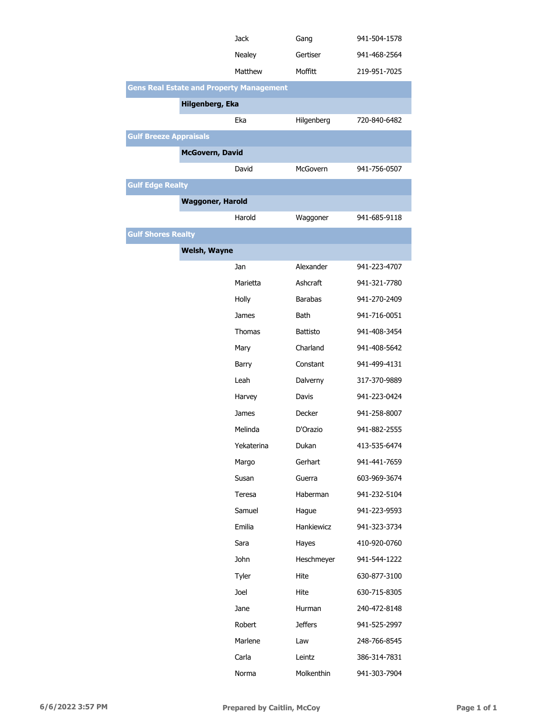|                               |                         | <b>Jack</b>                                     | Gang            | 941-504-1578 |
|-------------------------------|-------------------------|-------------------------------------------------|-----------------|--------------|
|                               |                         | Nealey                                          | Gertiser        | 941-468-2564 |
|                               |                         | Matthew                                         | Moffitt         | 219-951-7025 |
|                               |                         | <b>Gens Real Estate and Property Management</b> |                 |              |
|                               | Hilgenberg, Eka         |                                                 |                 |              |
|                               |                         | Eka                                             | Hilgenberg      | 720-840-6482 |
| <b>Gulf Breeze Appraisals</b> |                         |                                                 |                 |              |
|                               | <b>McGovern, David</b>  |                                                 |                 |              |
|                               |                         | David                                           | McGovern        | 941-756-0507 |
| <b>Gulf Edge Realty</b>       |                         |                                                 |                 |              |
|                               | <b>Waggoner, Harold</b> |                                                 |                 |              |
|                               |                         | Harold                                          | Waggoner        | 941-685-9118 |
| <b>Gulf Shores Realty</b>     |                         |                                                 |                 |              |
|                               | <b>Welsh, Wayne</b>     |                                                 |                 |              |
|                               |                         | Jan                                             | Alexander       | 941-223-4707 |
|                               |                         | Marietta                                        | Ashcraft        | 941-321-7780 |
|                               |                         | Holly                                           | <b>Barabas</b>  | 941-270-2409 |
|                               |                         | James                                           | <b>Bath</b>     | 941-716-0051 |
|                               |                         | Thomas                                          | <b>Battisto</b> | 941-408-3454 |
|                               |                         | Mary                                            | Charland        | 941-408-5642 |
|                               |                         | Barry                                           | Constant        | 941-499-4131 |
|                               |                         | Leah                                            | Dalverny        | 317-370-9889 |
|                               |                         | Harvey                                          | Davis           | 941-223-0424 |
|                               |                         | James                                           | Decker          | 941-258-8007 |
|                               |                         | Melinda                                         | D'Orazio        | 941-882-2555 |
|                               |                         | Yekaterina                                      | Dukan           | 413-535-6474 |
|                               |                         | Margo                                           | Gerhart         | 941-441-7659 |
|                               |                         | Susan                                           | Guerra          | 603-969-3674 |
|                               |                         | Teresa                                          | Haberman        | 941-232-5104 |
|                               |                         | Samuel                                          | Hague           | 941-223-9593 |
|                               |                         | Emilia                                          | Hankiewicz      | 941-323-3734 |
|                               |                         | Sara                                            | Hayes           | 410-920-0760 |
|                               |                         | John                                            | Heschmeyer      | 941-544-1222 |
|                               |                         | Tyler                                           | Hite            | 630-877-3100 |
|                               |                         | Joel                                            | Hite            | 630-715-8305 |
|                               |                         | Jane                                            | Hurman          | 240-472-8148 |
|                               |                         | Robert                                          | <b>Jeffers</b>  | 941-525-2997 |
|                               |                         | Marlene                                         | Law             | 248-766-8545 |
|                               |                         | Carla                                           | Leintz          | 386-314-7831 |
|                               |                         | Norma                                           | Molkenthin      | 941-303-7904 |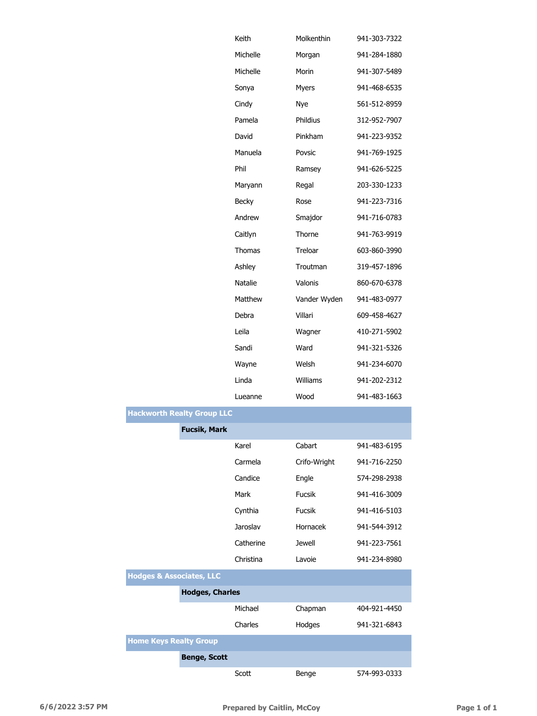|                                     |                                   | Keith        | Molkenthin    | 941-303-7322 |
|-------------------------------------|-----------------------------------|--------------|---------------|--------------|
|                                     |                                   | Michelle     | Morgan        | 941-284-1880 |
|                                     |                                   | Michelle     | Morin         | 941-307-5489 |
|                                     |                                   | Sonya        | Myers         | 941-468-6535 |
|                                     |                                   | Cindy        | Nye           | 561-512-8959 |
|                                     |                                   | Pamela       | Phildius      | 312-952-7907 |
|                                     |                                   | David        | Pinkham       | 941-223-9352 |
|                                     |                                   | Manuela      | Povsic        | 941-769-1925 |
|                                     |                                   | Phil         | Ramsey        | 941-626-5225 |
|                                     |                                   | Maryann      | Regal         | 203-330-1233 |
|                                     |                                   | <b>Becky</b> | Rose          | 941-223-7316 |
|                                     |                                   | Andrew       | Smajdor       | 941-716-0783 |
|                                     |                                   | Caitlyn      | Thorne        | 941-763-9919 |
|                                     |                                   | Thomas       | Treloar       | 603-860-3990 |
|                                     |                                   | Ashley       | Troutman      | 319-457-1896 |
|                                     |                                   | Natalie      | Valonis       | 860-670-6378 |
|                                     |                                   | Matthew      | Vander Wyden  | 941-483-0977 |
|                                     |                                   | Debra        | Villari       | 609-458-4627 |
|                                     |                                   | Leila        | Wagner        | 410-271-5902 |
|                                     |                                   | Sandi        | Ward          | 941-321-5326 |
|                                     |                                   | Wayne        | Welsh         | 941-234-6070 |
|                                     |                                   | Linda        | Williams      | 941-202-2312 |
|                                     |                                   | Lueanne      | Wood          | 941-483-1663 |
|                                     | <b>Hackworth Realty Group LLC</b> |              |               |              |
|                                     | <b>Fucsik, Mark</b>               |              |               |              |
|                                     |                                   | Karel        | Cabart        | 941-483-6195 |
|                                     |                                   | Carmela      | Crifo-Wright  | 941-716-2250 |
|                                     |                                   | Candice      | Engle         | 574-298-2938 |
|                                     |                                   | Mark         | Fucsik        | 941-416-3009 |
|                                     |                                   | Cynthia      | <b>Fucsik</b> | 941-416-5103 |
|                                     |                                   | Jaroslav     | Hornacek      | 941-544-3912 |
|                                     |                                   | Catherine    | <b>Jewell</b> | 941-223-7561 |
|                                     |                                   | Christina    | Lavoie        | 941-234-8980 |
| <b>Hodges &amp; Associates, LLC</b> |                                   |              |               |              |
|                                     | <b>Hodges, Charles</b>            |              |               |              |
|                                     |                                   | Michael      | Chapman       | 404-921-4450 |
|                                     |                                   | Charles      | Hodges        | 941-321-6843 |
| <b>Home Keys Realty Group</b>       |                                   |              |               |              |
|                                     | <b>Benge, Scott</b>               |              |               |              |
|                                     |                                   | Scott        | Benge         | 574-993-0333 |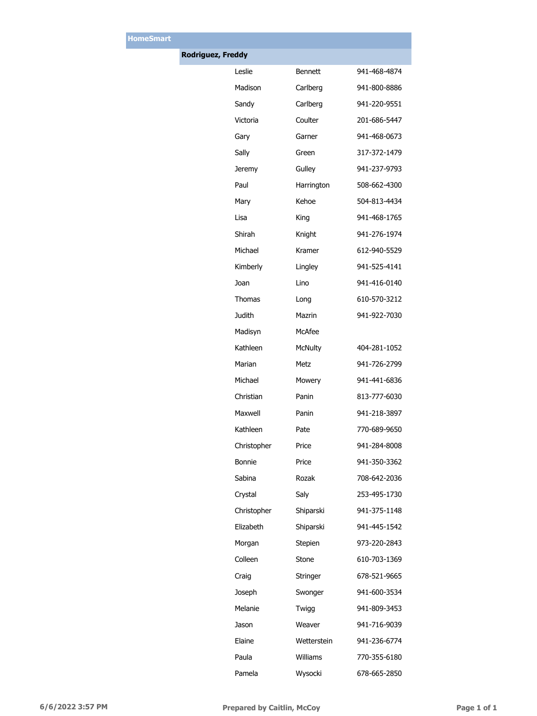| <b>Rodriguez, Freddy</b> |             |                |              |
|--------------------------|-------------|----------------|--------------|
|                          | Leslie      | <b>Bennett</b> | 941-468-4874 |
|                          | Madison     | Carlberg       | 941-800-8886 |
|                          | Sandy       | Carlberg       | 941-220-9551 |
|                          | Victoria    | Coulter        | 201-686-5447 |
|                          | Gary        | Garner         | 941-468-0673 |
|                          | Sally       | Green          | 317-372-1479 |
|                          | Jeremy      | Gulley         | 941-237-9793 |
|                          | Paul        | Harrington     | 508-662-4300 |
|                          | Mary        | Kehoe          | 504-813-4434 |
|                          | Lisa        | King           | 941-468-1765 |
|                          | Shirah      | Knight         | 941-276-1974 |
|                          | Michael     | Kramer         | 612-940-5529 |
|                          | Kimberly    | Lingley        | 941-525-4141 |
|                          | Joan        | Lino           | 941-416-0140 |
|                          | Thomas      | Long           | 610-570-3212 |
|                          | Judith      | Mazrin         | 941-922-7030 |
|                          | Madisyn     | McAfee         |              |
|                          | Kathleen    | <b>McNulty</b> | 404-281-1052 |
|                          | Marian      | Metz           | 941-726-2799 |
|                          | Michael     | Mowery         | 941-441-6836 |
|                          | Christian   | Panin          | 813-777-6030 |
|                          | Maxwell     | Panin          | 941-218-3897 |
|                          | Kathleen    | Pate           | 770-689-9650 |
|                          | Christopher | Price          | 941-284-8008 |
|                          | Bonnie      | Price          | 941-350-3362 |
|                          | Sabina      | Rozak          | 708-642-2036 |
|                          | Crystal     | Saly           | 253-495-1730 |
|                          | Christopher | Shiparski      | 941-375-1148 |
|                          | Elizabeth   | Shiparski      | 941-445-1542 |
|                          | Morgan      | Stepien        | 973-220-2843 |
|                          | Colleen     | Stone          | 610-703-1369 |
|                          | Craig       | Stringer       | 678-521-9665 |
|                          | Joseph      | Swonger        | 941-600-3534 |
|                          | Melanie     | Twigg          | 941-809-3453 |
|                          | Jason       | Weaver         | 941-716-9039 |
|                          | Elaine      | Wetterstein    | 941-236-6774 |
|                          | Paula       | Williams       | 770-355-6180 |
|                          | Pamela      | Wysocki        | 678-665-2850 |

**HomeSmart**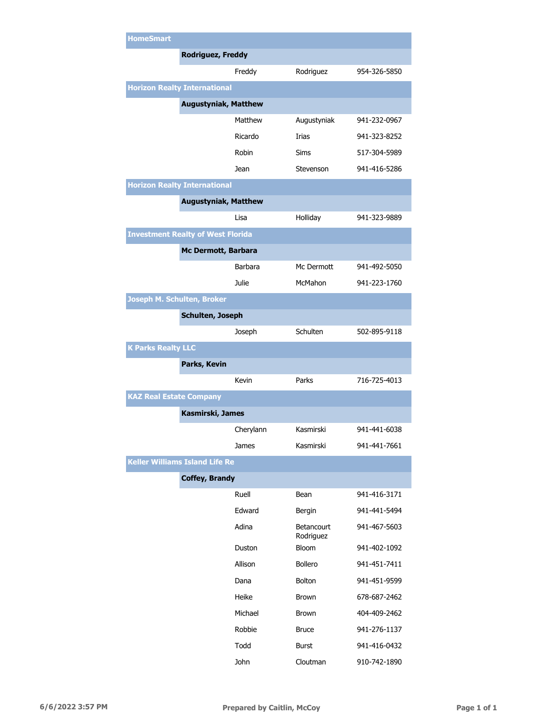| <b>HomeSmart</b>                         |                             |                |                                |              |
|------------------------------------------|-----------------------------|----------------|--------------------------------|--------------|
|                                          | <b>Rodriguez, Freddy</b>    |                |                                |              |
|                                          |                             | Freddy         | Rodriguez                      | 954-326-5850 |
| <b>Horizon Realty International</b>      |                             |                |                                |              |
|                                          | <b>Augustyniak, Matthew</b> |                |                                |              |
|                                          |                             | Matthew        | Augustyniak                    | 941-232-0967 |
|                                          |                             | Ricardo        | Irias                          | 941-323-8252 |
|                                          |                             | Robin          | Sims                           | 517-304-5989 |
|                                          |                             | Jean           | Stevenson                      | 941-416-5286 |
| <b>Horizon Realty International</b>      |                             |                |                                |              |
|                                          | <b>Augustyniak, Matthew</b> |                |                                |              |
|                                          |                             | Lisa           | Holliday                       | 941-323-9889 |
| <b>Investment Realty of West Florida</b> |                             |                |                                |              |
|                                          | Mc Dermott, Barbara         |                |                                |              |
|                                          |                             | <b>Barbara</b> | Mc Dermott                     | 941-492-5050 |
|                                          |                             | Julie          | McMahon                        | 941-223-1760 |
| Joseph M. Schulten, Broker               |                             |                |                                |              |
|                                          | <b>Schulten, Joseph</b>     |                |                                |              |
|                                          |                             | Joseph         | Schulten                       | 502-895-9118 |
| <b>K Parks Realty LLC</b>                |                             |                |                                |              |
|                                          | Parks, Kevin                |                |                                |              |
|                                          |                             | Kevin          | Parks                          | 716-725-4013 |
| <b>KAZ Real Estate Company</b>           |                             |                |                                |              |
|                                          | Kasmirski, James            |                |                                |              |
|                                          |                             | Cherylann      | Kasmirski                      | 941-441-6038 |
|                                          |                             | James          | Kasmirski                      | 941-441-7661 |
| <b>Keller Williams Island Life Re</b>    |                             |                |                                |              |
|                                          | <b>Coffey, Brandy</b>       |                |                                |              |
|                                          |                             | Ruell          | Bean                           | 941-416-3171 |
|                                          |                             | Edward         | Bergin                         | 941-441-5494 |
|                                          |                             | Adina          | <b>Betancourt</b><br>Rodriguez | 941-467-5603 |
|                                          |                             | Duston         | <b>Bloom</b>                   | 941-402-1092 |
|                                          |                             | Allison        | <b>Bollero</b>                 | 941-451-7411 |
|                                          |                             | Dana           | <b>Bolton</b>                  | 941-451-9599 |
|                                          |                             | Heike          | Brown                          | 678-687-2462 |
|                                          |                             | Michael        | <b>Brown</b>                   | 404-409-2462 |
|                                          |                             | Robbie         | <b>Bruce</b>                   | 941-276-1137 |
|                                          |                             | Todd           | <b>Burst</b>                   | 941-416-0432 |
|                                          |                             | John           | Cloutman                       | 910-742-1890 |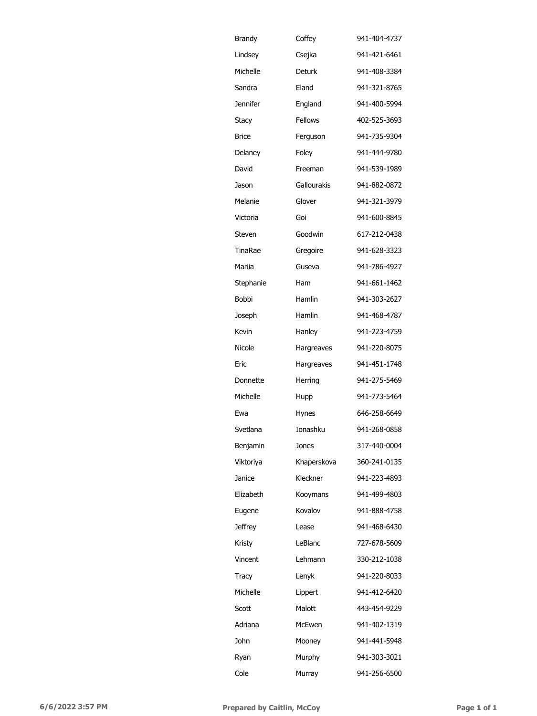| <b>Brandy</b>   | Coffey         | 941-404-4737 |
|-----------------|----------------|--------------|
| Lindsey         | Csejka         | 941-421-6461 |
| Michelle        | Deturk         | 941-408-3384 |
| Sandra          | Eland          | 941-321-8765 |
| <b>Jennifer</b> | England        | 941-400-5994 |
| Stacy           | <b>Fellows</b> | 402-525-3693 |
| <b>Brice</b>    | Ferguson       | 941-735-9304 |
| Delaney         | Foley          | 941-444-9780 |
| David           | Freeman        | 941-539-1989 |
| Jason           | Gallourakis    | 941-882-0872 |
| Melanie         | Glover         | 941-321-3979 |
| Victoria        | Goi            | 941-600-8845 |
| Steven          | Goodwin        | 617-212-0438 |
| TinaRae         | Gregoire       | 941-628-3323 |
| Mariia          | Guseva         | 941-786-4927 |
| Stephanie       | Ham            | 941-661-1462 |
| Bobbi           | Hamlin         | 941-303-2627 |
| Joseph          | Hamlin         | 941-468-4787 |
| Kevin           | Hanley         | 941-223-4759 |
| Nicole          | Hargreaves     | 941-220-8075 |
| Eric            | Hargreaves     | 941-451-1748 |
| Donnette        | Herring        | 941-275-5469 |
| Michelle        | Hupp           | 941-773-5464 |
| Ewa             | Hynes          | 646-258-6649 |
| Svetlana        | Tonashku       | 941-268-0858 |
| Benjamin        | Jones          | 317-440-0004 |
| Viktoriya       | Khaperskova    | 360-241-0135 |
| Janice          | Kleckner       | 941-223-4893 |
| Elizabeth       | Kooymans       | 941-499-4803 |
| Eugene          | Kovalov        | 941-888-4758 |
| <b>Jeffrey</b>  | Lease          | 941-468-6430 |
| Kristy          | LeBlanc        | 727-678-5609 |
| Vincent         | Lehmann        | 330-212-1038 |
| Tracy           | Lenyk          | 941-220-8033 |
| Michelle        | Lippert        | 941-412-6420 |
| Scott           | Malott         | 443-454-9229 |
| Adriana         | McEwen         | 941-402-1319 |
| John            | Mooney         | 941-441-5948 |
| Ryan            | Murphy         | 941-303-3021 |
| Cole            | Murray         | 941-256-6500 |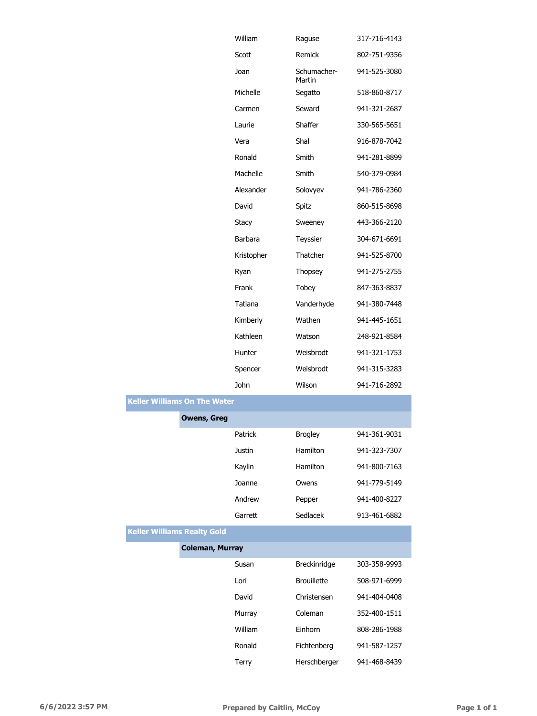|                                     | William     | Raguse                | 317-716-4143 |
|-------------------------------------|-------------|-----------------------|--------------|
|                                     | Scott       | Remick                | 802-751-9356 |
|                                     | Joan        | Schumacher-<br>Martin | 941-525-3080 |
|                                     | Michelle    | Segatto               | 518-860-8717 |
|                                     | Carmen      | Seward                | 941-321-2687 |
|                                     | Laurie      | Shaffer               | 330-565-5651 |
|                                     | Vera        | Shal                  | 916-878-7042 |
|                                     | Ronald      | Smith                 | 941-281-8899 |
|                                     | Machelle    | Smith                 | 540-379-0984 |
|                                     | Alexander   | Solovyev              | 941-786-2360 |
|                                     | David       | Spitz                 | 860-515-8698 |
|                                     | Stacy       | Sweeney               | 443-366-2120 |
|                                     | Barbara     | Teyssier              | 304-671-6691 |
|                                     | Kristopher  | Thatcher              | 941-525-8700 |
|                                     | Ryan        | Thopsey               | 941-275-2755 |
|                                     | Frank       | Tobey                 | 847-363-8837 |
|                                     | Tatiana     | Vanderhyde            | 941-380-7448 |
|                                     | Kimberly    | Wathen                | 941-445-1651 |
|                                     | Kathleen    | Watson                | 248-921-8584 |
|                                     | Hunter      | Weisbrodt             | 941-321-1753 |
|                                     | Spencer     | Weisbrodt             | 941-315-3283 |
|                                     | <b>John</b> | Wilson                | 941-716-2892 |
| <b>Keller Williams On The Water</b> |             |                       |              |
| <b>Owens, Greg</b>                  |             |                       |              |
|                                     | Patrick     | <b>Brogley</b>        | 941-361-9031 |
|                                     | Justin      | Hamilton              | 941-323-7307 |
|                                     | Kaylin      | Hamilton              | 941-800-7163 |
|                                     | Joanne      | Owens                 | 941-779-5149 |
|                                     | Andrew      | Pepper                | 941-400-8227 |
|                                     | Garrett     | Sedlacek              | 913-461-6882 |
| <b>Keller Williams Realty Gold</b>  |             |                       |              |
| <b>Coleman, Murray</b>              |             |                       |              |
|                                     | Susan       | Breckinridge          | 303-358-9993 |
|                                     | Lori        | <b>Brouillette</b>    | 508-971-6999 |
|                                     | David       | Christensen           | 941-404-0408 |
|                                     |             |                       |              |
|                                     | Murray      | Coleman               | 352-400-1511 |
|                                     | William     | Einhorn               | 808-286-1988 |
|                                     | Ronald      | Fichtenberg           | 941-587-1257 |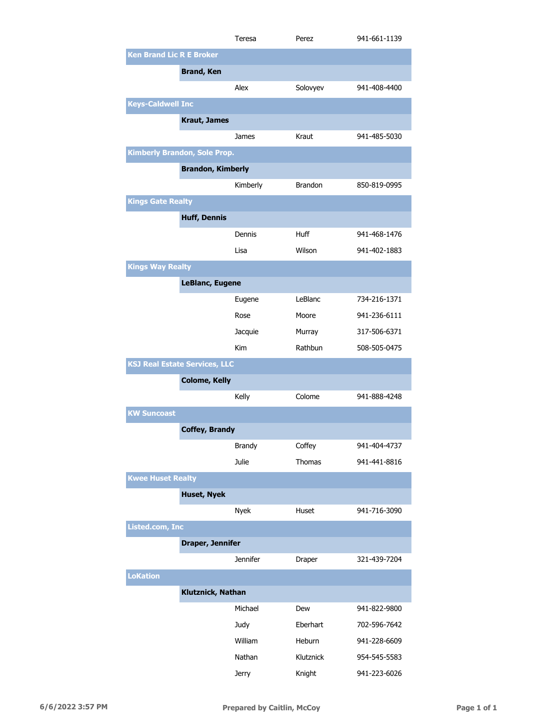|                                 |                                      | Teresa          | Perez          | 941-661-1139 |
|---------------------------------|--------------------------------------|-----------------|----------------|--------------|
| <b>Ken Brand Lic R E Broker</b> |                                      |                 |                |              |
|                                 | <b>Brand, Ken</b>                    |                 |                |              |
|                                 |                                      | Alex            | Solovyev       | 941-408-4400 |
| <b>Keys-Caldwell Inc</b>        |                                      |                 |                |              |
|                                 | <b>Kraut, James</b>                  |                 |                |              |
|                                 |                                      |                 | Kraut          |              |
|                                 |                                      | James           |                | 941-485-5030 |
|                                 | <b>Kimberly Brandon, Sole Prop.</b>  |                 |                |              |
|                                 | <b>Brandon, Kimberly</b>             |                 |                |              |
|                                 |                                      | Kimberly        | <b>Brandon</b> | 850-819-0995 |
| <b>Kings Gate Realty</b>        |                                      |                 |                |              |
|                                 | <b>Huff, Dennis</b>                  |                 |                |              |
|                                 |                                      | Dennis          | Huff           | 941-468-1476 |
|                                 |                                      | Lisa            | Wilson         | 941-402-1883 |
| <b>Kings Way Realty</b>         |                                      |                 |                |              |
|                                 | LeBlanc, Eugene                      |                 |                |              |
|                                 |                                      | Eugene          | LeBlanc        | 734-216-1371 |
|                                 |                                      | Rose            | Moore          | 941-236-6111 |
|                                 |                                      | Jacquie         | Murray         | 317-506-6371 |
|                                 |                                      | Kim             | Rathbun        | 508-505-0475 |
|                                 |                                      |                 |                |              |
|                                 | <b>KSJ Real Estate Services, LLC</b> |                 |                |              |
|                                 | <b>Colome, Kelly</b>                 |                 |                |              |
|                                 |                                      | Kelly           | Colome         | 941-888-4248 |
| <b>KW Suncoast</b>              |                                      |                 |                |              |
|                                 | <b>Coffey, Brandy</b>                |                 |                |              |
|                                 |                                      | <b>Brandy</b>   | Coffey         | 941-404-4737 |
|                                 |                                      | Julie           | Thomas         | 941-441-8816 |
| <b>Kwee Huset Realty</b>        |                                      |                 |                |              |
|                                 | <b>Huset, Nyek</b>                   |                 |                |              |
|                                 |                                      | <b>Nyek</b>     | Huset          | 941-716-3090 |
| Listed.com, Inc                 |                                      |                 |                |              |
|                                 | Draper, Jennifer                     |                 |                |              |
|                                 |                                      | <b>Jennifer</b> | Draper         | 321-439-7204 |
| <b>LoKation</b>                 |                                      |                 |                |              |
|                                 | Klutznick, Nathan                    |                 |                |              |
|                                 |                                      | Michael         | Dew            | 941-822-9800 |
|                                 |                                      |                 | Eberhart       | 702-596-7642 |
|                                 |                                      | Judy            |                |              |
|                                 |                                      | William         | Heburn         | 941-228-6609 |
|                                 |                                      | Nathan          | Klutznick      | 954-545-5583 |
|                                 |                                      | <b>Jerry</b>    | Knight         | 941-223-6026 |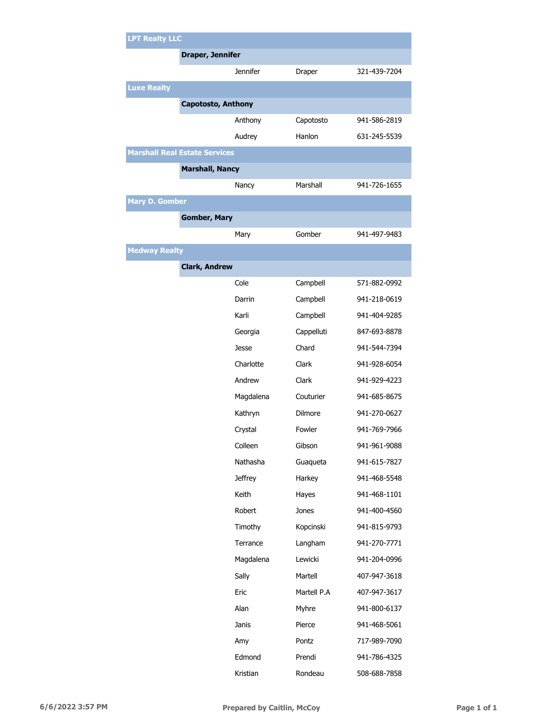|                       | <b>LPT Realty LLC</b>                |                 |             |              |  |
|-----------------------|--------------------------------------|-----------------|-------------|--------------|--|
|                       | Draper, Jennifer                     |                 |             |              |  |
|                       |                                      | <b>Jennifer</b> | Draper      | 321-439-7204 |  |
| <b>Luxe Realty</b>    |                                      |                 |             |              |  |
|                       | Capotosto, Anthony                   |                 |             |              |  |
|                       |                                      | Anthony         | Capotosto   | 941-586-2819 |  |
|                       |                                      | Audrey          | Hanlon      | 631-245-5539 |  |
|                       | <b>Marshall Real Estate Services</b> |                 |             |              |  |
|                       | <b>Marshall, Nancy</b>               |                 |             |              |  |
|                       |                                      | Nancy           | Marshall    | 941-726-1655 |  |
| <b>Mary D. Gomber</b> |                                      |                 |             |              |  |
|                       | <b>Gomber, Mary</b>                  |                 |             |              |  |
|                       |                                      | Mary            | Gomber      | 941-497-9483 |  |
| <b>Medway Realty</b>  |                                      |                 |             |              |  |
|                       | <b>Clark, Andrew</b>                 |                 |             |              |  |
|                       |                                      | Cole            | Campbell    | 571-882-0992 |  |
|                       |                                      | Darrin          | Campbell    | 941-218-0619 |  |
|                       |                                      | Karli           | Campbell    | 941-404-9285 |  |
|                       |                                      | Georgia         | Cappelluti  | 847-693-8878 |  |
|                       |                                      | Jesse           | Chard       | 941-544-7394 |  |
|                       |                                      | Charlotte       | Clark       | 941-928-6054 |  |
|                       |                                      | Andrew          | Clark       | 941-929-4223 |  |
|                       |                                      | Magdalena       | Couturier   | 941-685-8675 |  |
|                       |                                      | Kathryn         | Dilmore     | 941-270-0627 |  |
|                       |                                      | Crystal         | Fowler      | 941-769-7966 |  |
|                       |                                      | Colleen         | Gibson      | 941-961-9088 |  |
|                       |                                      | Nathasha        | Guaqueta    | 941-615-7827 |  |
|                       |                                      | <b>Jeffrey</b>  | Harkey      | 941-468-5548 |  |
|                       |                                      | Keith           | Hayes       | 941-468-1101 |  |
|                       |                                      | Robert          | Jones       | 941-400-4560 |  |
|                       |                                      | Timothy         | Kopcinski   | 941-815-9793 |  |
|                       |                                      | Terrance        | Langham     | 941-270-7771 |  |
|                       |                                      | Magdalena       | Lewicki     | 941-204-0996 |  |
|                       |                                      | Sally           | Martell     | 407-947-3618 |  |
|                       |                                      | Eric            | Martell P.A | 407-947-3617 |  |
|                       |                                      | Alan            | Myhre       | 941-800-6137 |  |
|                       |                                      | Janis           | Pierce      | 941-468-5061 |  |
|                       |                                      | Amy             | Pontz       | 717-989-7090 |  |
|                       |                                      | Edmond          | Prendi      | 941-786-4325 |  |
|                       |                                      | Kristian        | Rondeau     | 508-688-7858 |  |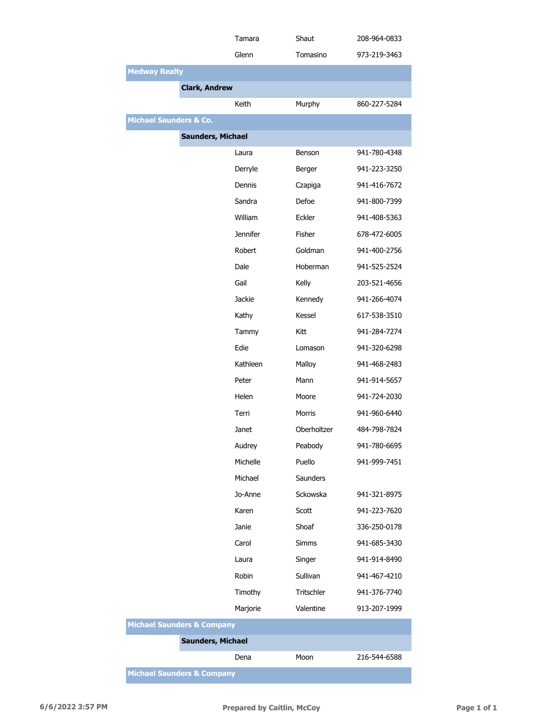|                                       | Tamara   | Shaut         | 208-964-0833 |
|---------------------------------------|----------|---------------|--------------|
|                                       | Glenn    | Tomasino      | 973-219-3463 |
| <b>Medway Realty</b>                  |          |               |              |
| <b>Clark, Andrew</b>                  |          |               |              |
|                                       | Keith    | Murphy        | 860-227-5284 |
| <b>Michael Saunders &amp; Co.</b>     |          |               |              |
| <b>Saunders, Michael</b>              |          |               |              |
|                                       | Laura    | Benson        | 941-780-4348 |
|                                       | Derryle  | Berger        | 941-223-3250 |
|                                       | Dennis   | Czapiga       | 941-416-7672 |
|                                       | Sandra   | Defoe         | 941-800-7399 |
|                                       | William  | Eckler        | 941-408-5363 |
|                                       | Jennifer | Fisher        | 678-472-6005 |
|                                       | Robert   | Goldman       | 941-400-2756 |
|                                       | Dale     | Hoberman      | 941-525-2524 |
|                                       | Gail     | Kelly         | 203-521-4656 |
|                                       | Jackie   | Kennedy       | 941-266-4074 |
|                                       | Kathy    | Kessel        | 617-538-3510 |
|                                       | Tammy    | Kitt          | 941-284-7274 |
|                                       | Edie     | Lomason       | 941-320-6298 |
|                                       | Kathleen | Malloy        | 941-468-2483 |
|                                       | Peter    | Mann          | 941-914-5657 |
|                                       | Helen    | Moore         | 941-724-2030 |
|                                       | Terri    | <b>Morris</b> | 941-960-6440 |
|                                       | Janet    | Oberholtzer   | 484-798-7824 |
|                                       | Audrey   | Peabody       | 941-780-6695 |
|                                       | Michelle | Puello        | 941-999-7451 |
|                                       | Michael  | Saunders      |              |
|                                       | Jo-Anne  | Sckowska      | 941-321-8975 |
|                                       | Karen    | Scott         | 941-223-7620 |
|                                       | Janie    | Shoaf         | 336-250-0178 |
|                                       | Carol    | Simms         | 941-685-3430 |
|                                       | Laura    | Singer        | 941-914-8490 |
|                                       | Robin    | Sullivan      | 941-467-4210 |
|                                       | Timothy  | Tritschler    | 941-376-7740 |
|                                       | Marjorie | Valentine     | 913-207-1999 |
| <b>Michael Saunders &amp; Company</b> |          |               |              |
| <b>Saunders, Michael</b>              |          |               |              |
|                                       | Dena     | Moon          | 216-544-6588 |
| <b>Michael Saunders &amp; Company</b> |          |               |              |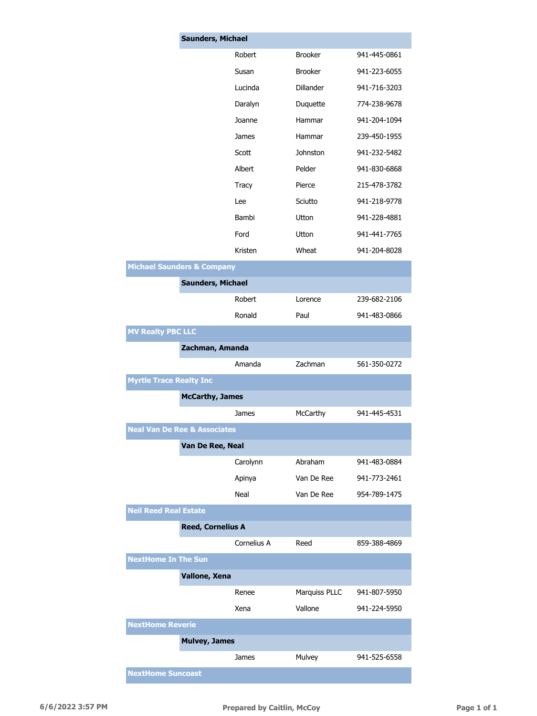|                                         | <b>Saunders, Michael</b> |             |                  |              |
|-----------------------------------------|--------------------------|-------------|------------------|--------------|
|                                         |                          | Robert      | <b>Brooker</b>   | 941-445-0861 |
|                                         |                          | Susan       | <b>Brooker</b>   | 941-223-6055 |
|                                         |                          | Lucinda     | <b>Dillander</b> | 941-716-3203 |
|                                         |                          | Daralyn     | Duquette         | 774-238-9678 |
|                                         |                          | Joanne      | Hammar           | 941-204-1094 |
|                                         |                          | James       | Hammar           | 239-450-1955 |
|                                         |                          | Scott       | Johnston         | 941-232-5482 |
|                                         |                          | Albert      | Pelder           | 941-830-6868 |
|                                         |                          | Tracy       | Pierce           | 215-478-3782 |
|                                         |                          | Lee         | Sciutto          | 941-218-9778 |
|                                         |                          | Bambi       | Utton            | 941-228-4881 |
|                                         |                          | Ford        | Utton            | 941-441-7765 |
|                                         |                          | Kristen     | Wheat            | 941-204-8028 |
| <b>Michael Saunders &amp; Company</b>   |                          |             |                  |              |
|                                         | <b>Saunders, Michael</b> |             |                  |              |
|                                         |                          | Robert      | Lorence          | 239-682-2106 |
|                                         |                          | Ronald      | Paul             | 941-483-0866 |
| <b>MV Realty PBC LLC</b>                |                          |             |                  |              |
|                                         | Zachman, Amanda          |             |                  |              |
|                                         |                          | Amanda      | Zachman          | 561-350-0272 |
| <b>Myrtle Trace Realty Inc</b>          |                          |             |                  |              |
|                                         | <b>McCarthy, James</b>   |             |                  |              |
|                                         |                          | James       | McCarthy         | 941-445-4531 |
| <b>Neal Van De Ree &amp; Associates</b> |                          |             |                  |              |
|                                         | Van De Ree, Neal         |             |                  |              |
|                                         |                          | Carolynn    | Abraham          | 941-483-0884 |
|                                         |                          | Apinya      | Van De Ree       | 941-773-2461 |
|                                         |                          | Neal        | Van De Ree       | 954-789-1475 |
| <b>Neil Reed Real Estate</b>            |                          |             |                  |              |
|                                         | <b>Reed, Cornelius A</b> |             |                  |              |
|                                         |                          | Cornelius A | Reed             | 859-388-4869 |
| <b>NextHome In The Sun</b>              |                          |             |                  |              |
|                                         | Vallone, Xena            |             |                  |              |
|                                         |                          | Renee       | Marquiss PLLC    | 941-807-5950 |
|                                         |                          | Xena        | Vallone          | 941-224-5950 |
| <b>NextHome Reverie</b>                 |                          |             |                  |              |
|                                         | <b>Mulvey, James</b>     |             |                  |              |
|                                         |                          | James       | Mulvey           | 941-525-6558 |
| <b>NextHome Suncoast</b>                |                          |             |                  |              |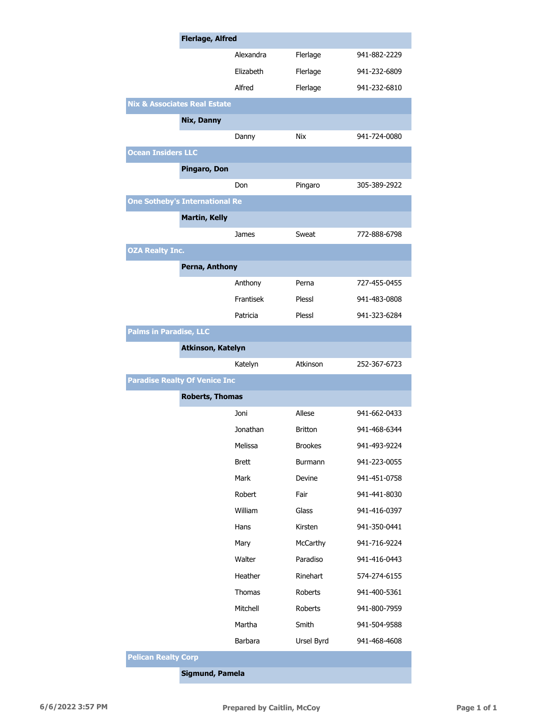|                                         | <b>Flerlage, Alfred</b>  |                |              |  |
|-----------------------------------------|--------------------------|----------------|--------------|--|
|                                         | Alexandra                | Flerlage       | 941-882-2229 |  |
|                                         | Elizabeth                | Flerlage       | 941-232-6809 |  |
|                                         | Alfred                   | Flerlage       | 941-232-6810 |  |
| <b>Nix &amp; Associates Real Estate</b> |                          |                |              |  |
| Nix, Danny                              |                          |                |              |  |
|                                         | Danny                    | Nix            | 941-724-0080 |  |
| <b>Ocean Insiders LLC</b>               |                          |                |              |  |
| Pingaro, Don                            |                          |                |              |  |
|                                         | Don                      | Pingaro        | 305-389-2922 |  |
| <b>One Sotheby's International Re</b>   |                          |                |              |  |
| <b>Martin, Kelly</b>                    |                          |                |              |  |
|                                         | James                    | Sweat          | 772-888-6798 |  |
| <b>OZA Realty Inc.</b>                  |                          |                |              |  |
| Perna, Anthony                          |                          |                |              |  |
|                                         | Anthony                  | Perna          | 727-455-0455 |  |
|                                         | Frantisek                | Plessl         | 941-483-0808 |  |
|                                         | Patricia                 | Plessl         | 941-323-6284 |  |
| <b>Palms in Paradise, LLC</b>           |                          |                |              |  |
|                                         | <b>Atkinson, Katelyn</b> |                |              |  |
|                                         | Katelyn                  | Atkinson       | 252-367-6723 |  |
| <b>Paradise Realty Of Venice Inc</b>    |                          |                |              |  |
|                                         | <b>Roberts, Thomas</b>   |                |              |  |
|                                         | Joni                     | Allese         | 941-662-0433 |  |
|                                         | Jonathan                 | <b>Britton</b> | 941-468-6344 |  |
|                                         | Melissa                  | <b>Brookes</b> | 941-493-9224 |  |
|                                         | <b>Brett</b>             | Burmann        | 941-223-0055 |  |
|                                         | Mark                     | Devine         | 941-451-0758 |  |
|                                         | Robert                   | Fair           | 941-441-8030 |  |
|                                         | William                  | Glass          | 941-416-0397 |  |
|                                         | Hans                     | Kirsten        | 941-350-0441 |  |
|                                         | Mary                     | McCarthy       | 941-716-9224 |  |
|                                         | Walter                   | Paradiso       | 941-416-0443 |  |
|                                         | Heather                  | Rinehart       | 574-274-6155 |  |
|                                         | Thomas                   | Roberts        | 941-400-5361 |  |
|                                         | Mitchell                 | Roberts        | 941-800-7959 |  |
|                                         | Martha                   | Smith          | 941-504-9588 |  |
|                                         | Barbara                  | Ursel Byrd     | 941-468-4608 |  |
| <b>Pelican Realty Corp</b>              |                          |                |              |  |
|                                         | Sigmund, Pamela          |                |              |  |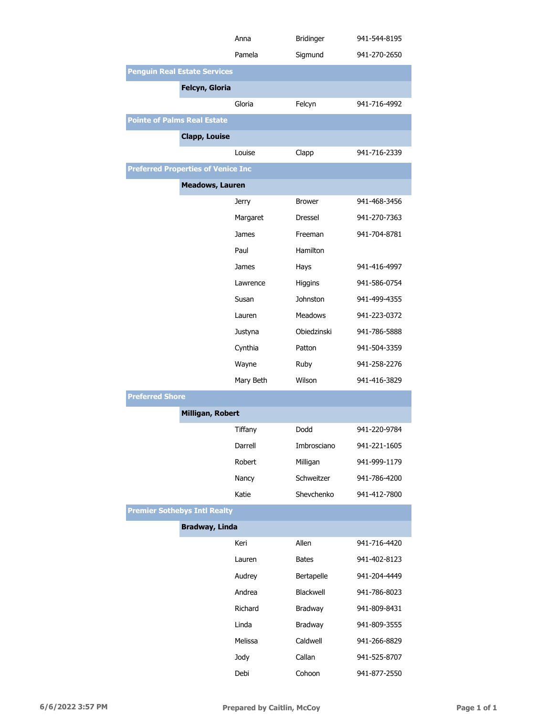|                                           | Anna                    | <b>Bridinger</b> | 941-544-8195 |
|-------------------------------------------|-------------------------|------------------|--------------|
|                                           | Pamela                  | Sigmund          | 941-270-2650 |
| <b>Penguin Real Estate Services</b>       |                         |                  |              |
| Felcyn, Gloria                            |                         |                  |              |
|                                           | Gloria                  | Felcyn           | 941-716-4992 |
| <b>Pointe of Palms Real Estate</b>        |                         |                  |              |
| <b>Clapp, Louise</b>                      |                         |                  |              |
|                                           | Louise                  | Clapp            | 941-716-2339 |
| <b>Preferred Properties of Venice Inc</b> |                         |                  |              |
|                                           | <b>Meadows, Lauren</b>  |                  |              |
|                                           | <b>Jerry</b>            | <b>Brower</b>    | 941-468-3456 |
|                                           | Margaret                | Dressel          | 941-270-7363 |
|                                           | James                   | Freeman          | 941-704-8781 |
|                                           | Paul                    | Hamilton         |              |
|                                           | James                   | Hays             | 941-416-4997 |
|                                           | Lawrence                | <b>Higgins</b>   | 941-586-0754 |
|                                           | Susan                   | <b>Johnston</b>  | 941-499-4355 |
|                                           | Lauren                  | <b>Meadows</b>   | 941-223-0372 |
|                                           | Justyna                 | Obiedzinski      | 941-786-5888 |
|                                           | Cynthia                 | Patton           | 941-504-3359 |
|                                           | Wayne                   | Ruby             | 941-258-2276 |
|                                           | Mary Beth               | Wilson           | 941-416-3829 |
| <b>Preferred Shore</b>                    |                         |                  |              |
|                                           | <b>Milligan, Robert</b> |                  |              |
|                                           | Tiffany                 | Dodd             | 941-220-9784 |
|                                           | Darrell                 | Imbrosciano      | 941-221-1605 |
|                                           | Robert                  | Milligan         | 941-999-1179 |
|                                           | Nancy                   | Schweitzer       | 941-786-4200 |
|                                           | Katie                   | Shevchenko       | 941-412-7800 |
| <b>Premier Sothebys Intl Realty</b>       |                         |                  |              |
|                                           | <b>Bradway, Linda</b>   |                  |              |
|                                           | Keri                    | Allen            | 941-716-4420 |
|                                           | Lauren                  | <b>Bates</b>     | 941-402-8123 |
|                                           | Audrey                  | Bertapelle       | 941-204-4449 |
|                                           | Andrea                  | Blackwell        | 941-786-8023 |
|                                           | Richard                 | Bradway          | 941-809-8431 |
|                                           | Linda                   | Bradway          | 941-809-3555 |
|                                           | Melissa                 | Caldwell         | 941-266-8829 |
|                                           | Jody                    | Callan           | 941-525-8707 |
|                                           | Debi                    | Cohoon           | 941-877-2550 |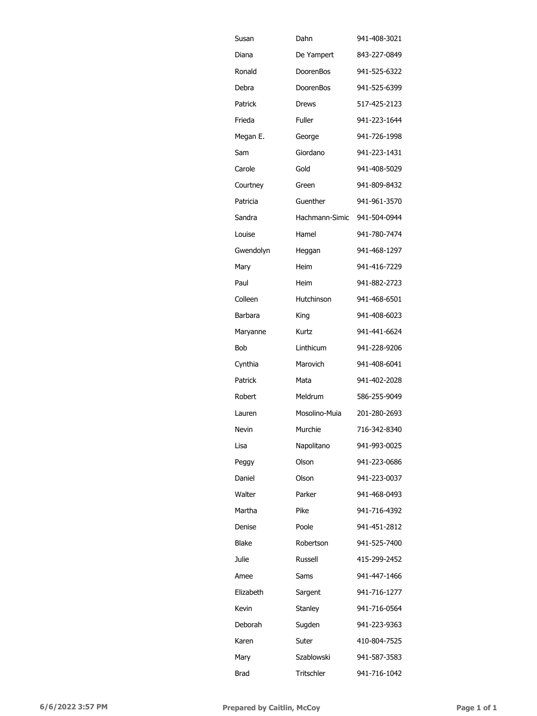| Susan     | Dahn           | 941-408-3021 |
|-----------|----------------|--------------|
| Diana     | De Yampert     | 843-227-0849 |
| Ronald    | DoorenBos      | 941-525-6322 |
| Debra     | DoorenBos      | 941-525-6399 |
| Patrick   | Drews          | 517-425-2123 |
| Frieda    | <b>Fuller</b>  | 941-223-1644 |
| Megan E.  | George         | 941-726-1998 |
| Sam       | Giordano       | 941-223-1431 |
| Carole    | Gold           | 941-408-5029 |
| Courtney  | Green          | 941-809-8432 |
| Patricia  | Guenther       | 941-961-3570 |
| Sandra    | Hachmann-Simic | 941-504-0944 |
| Louise    | Hamel          | 941-780-7474 |
| Gwendolyn | Heggan         | 941-468-1297 |
| Mary      | Heim           | 941-416-7229 |
| Paul      | Heim           | 941-882-2723 |
| Colleen   | Hutchinson     | 941-468-6501 |
| Barbara   | King           | 941-408-6023 |
| Maryanne  | Kurtz          | 941-441-6624 |
| Bob       | Linthicum      | 941-228-9206 |
| Cynthia   | Marovich       | 941-408-6041 |
| Patrick   | Mata           | 941-402-2028 |
| Robert    | Meldrum        | 586-255-9049 |
| Lauren    | Mosolino-Muia  | 201-280-2693 |
| Nevin     | Murchie        | 716-342-8340 |
| Lisa      | Napolitano     | 941-993-0025 |
| Peggy     | Olson          | 941-223-0686 |
| Daniel    | Olson          | 941-223-0037 |
| Walter    | Parker         | 941-468-0493 |
| Martha    | Pike           | 941-716-4392 |
| Denise    | Poole          | 941-451-2812 |
| Blake     | Robertson      | 941-525-7400 |
| Julie     | Russell        | 415-299-2452 |
| Amee      | Sams           | 941-447-1466 |
| Elizabeth | Sargent        | 941-716-1277 |
| Kevin     | Stanley        | 941-716-0564 |
| Deborah   | Sugden         | 941-223-9363 |
| Karen     | Suter          | 410-804-7525 |
| Mary      | Szablowski     | 941-587-3583 |
| Brad      | Tritschler     | 941-716-1042 |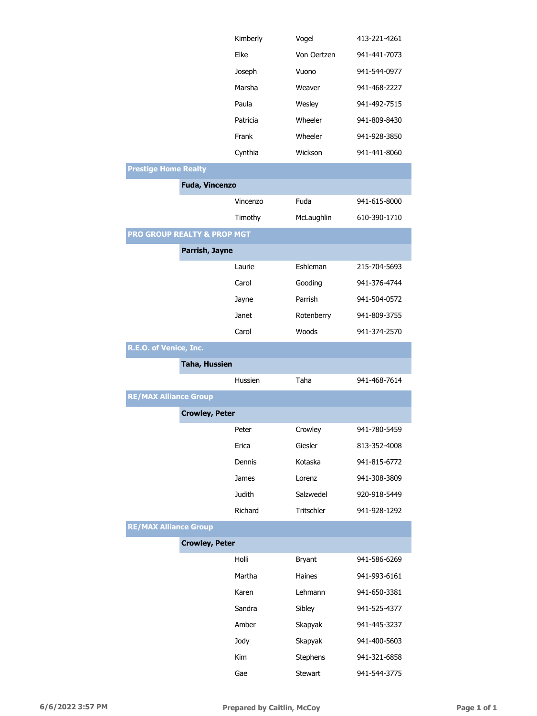|                                        |                       | Kimberly      | Vogel         | 413-221-4261 |
|----------------------------------------|-----------------------|---------------|---------------|--------------|
|                                        |                       | Elke          | Von Oertzen   | 941-441-7073 |
|                                        |                       | Joseph        | Vuono         | 941-544-0977 |
|                                        |                       | Marsha        | Weaver        | 941-468-2227 |
|                                        |                       | Paula         | Wesley        | 941-492-7515 |
|                                        |                       | Patricia      | Wheeler       | 941-809-8430 |
|                                        |                       | Frank         | Wheeler       | 941-928-3850 |
|                                        |                       | Cynthia       | Wickson       | 941-441-8060 |
| <b>Prestige Home Realty</b>            |                       |               |               |              |
|                                        | <b>Fuda, Vincenzo</b> |               |               |              |
|                                        |                       | Vincenzo      | Fuda          | 941-615-8000 |
|                                        |                       | Timothy       | McLaughlin    | 610-390-1710 |
| <b>PRO GROUP REALTY &amp; PROP MGT</b> |                       |               |               |              |
|                                        | Parrish, Jayne        |               |               |              |
|                                        |                       | Laurie        | Eshleman      | 215-704-5693 |
|                                        |                       | Carol         | Gooding       | 941-376-4744 |
|                                        |                       | Jayne         | Parrish       | 941-504-0572 |
|                                        |                       | Janet         | Rotenberry    | 941-809-3755 |
|                                        |                       | Carol         | Woods         | 941-374-2570 |
| R.E.O. of Venice, Inc.                 |                       |               |               |              |
|                                        | <b>Taha, Hussien</b>  |               |               |              |
|                                        |                       | Hussien       | Taha          | 941-468-7614 |
| <b>RE/MAX Alliance Group</b>           |                       |               |               |              |
|                                        | <b>Crowley, Peter</b> |               |               |              |
|                                        |                       | Peter         | Crowley       | 941-780-5459 |
|                                        |                       | Erica         | Giesler       | 813-352-4008 |
|                                        |                       | Dennis        | Kotaska       | 941-815-6772 |
|                                        |                       | James         | Lorenz        | 941-308-3809 |
|                                        |                       | <b>Judith</b> | Salzwedel     | 920-918-5449 |
|                                        |                       | Richard       | Tritschler    | 941-928-1292 |
| <b>RE/MAX Alliance Group</b>           |                       |               |               |              |
|                                        | <b>Crowley, Peter</b> |               |               |              |
|                                        |                       | Holli         | <b>Bryant</b> | 941-586-6269 |
|                                        |                       | Martha        | Haines        | 941-993-6161 |
|                                        |                       | Karen         | Lehmann       | 941-650-3381 |
|                                        |                       | Sandra        | Sibley        | 941-525-4377 |
|                                        |                       | Amber         | Skapyak       | 941-445-3237 |
|                                        |                       | Jody          | Skapyak       | 941-400-5603 |
|                                        |                       | Kim           | Stephens      | 941-321-6858 |
|                                        |                       | Gae           | Stewart       | 941-544-3775 |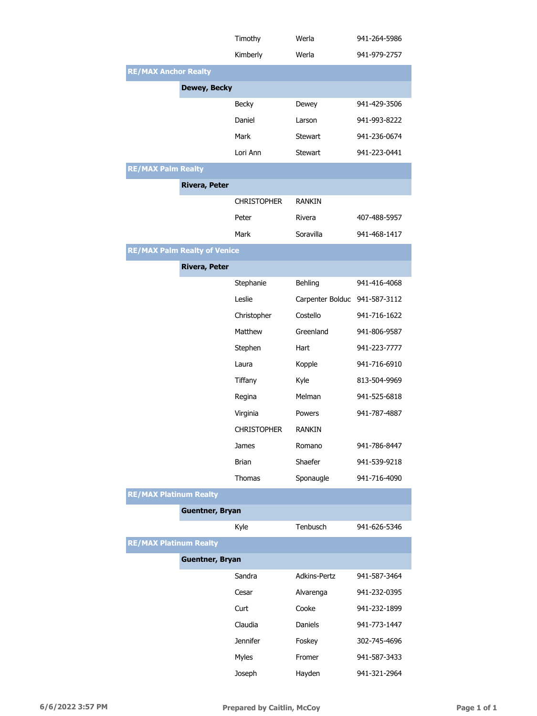|                                     | Timothy                | Werla                         | 941-264-5986 |
|-------------------------------------|------------------------|-------------------------------|--------------|
|                                     | Kimberly               | Werla                         | 941-979-2757 |
| <b>RE/MAX Anchor Realty</b>         |                        |                               |              |
|                                     | <b>Dewey, Becky</b>    |                               |              |
|                                     | Becky                  | Dewey                         | 941-429-3506 |
|                                     | Daniel                 | Larson                        | 941-993-8222 |
|                                     | Mark                   | <b>Stewart</b>                | 941-236-0674 |
|                                     | Lori Ann               | <b>Stewart</b>                | 941-223-0441 |
| <b>RE/MAX Palm Realty</b>           |                        |                               |              |
|                                     | <b>Rivera, Peter</b>   |                               |              |
|                                     | <b>CHRISTOPHER</b>     | <b>RANKIN</b>                 |              |
|                                     | Peter                  | Rivera                        | 407-488-5957 |
|                                     | Mark                   | Soravilla                     | 941-468-1417 |
| <b>RE/MAX Palm Realty of Venice</b> |                        |                               |              |
|                                     | <b>Rivera, Peter</b>   |                               |              |
|                                     | Stephanie              | Behling                       | 941-416-4068 |
|                                     | Leslie                 | Carpenter Bolduc 941-587-3112 |              |
|                                     | Christopher            | Costello                      | 941-716-1622 |
|                                     | Matthew                | Greenland                     | 941-806-9587 |
|                                     | Stephen                | Hart                          | 941-223-7777 |
|                                     | Laura                  | Kopple                        | 941-716-6910 |
|                                     | Tiffany                | Kyle                          | 813-504-9969 |
|                                     | Regina                 | Melman                        | 941-525-6818 |
|                                     | Virginia               | Powers                        | 941-787-4887 |
|                                     | <b>CHRISTOPHER</b>     | RANKIN                        |              |
|                                     | James                  | Romano                        | 941-786-8447 |
|                                     | Brian                  | Shaefer                       | 941-539-9218 |
|                                     | Thomas                 | Sponaugle                     | 941-716-4090 |
| <b>RE/MAX Platinum Realty</b>       |                        |                               |              |
|                                     | <b>Guentner, Bryan</b> |                               |              |
|                                     | Kyle                   | Tenbusch                      | 941-626-5346 |
| <b>RE/MAX Platinum Realty</b>       |                        |                               |              |
|                                     | <b>Guentner, Bryan</b> |                               |              |
|                                     | Sandra                 | Adkins-Pertz                  | 941-587-3464 |
|                                     | Cesar                  | Alvarenga                     | 941-232-0395 |
|                                     | Curt                   | Cooke                         | 941-232-1899 |
|                                     | Claudia                | Daniels                       | 941-773-1447 |
|                                     | <b>Jennifer</b>        | Foskey                        | 302-745-4696 |
|                                     | Myles                  | Fromer                        | 941-587-3433 |
|                                     | Joseph                 | Hayden                        | 941-321-2964 |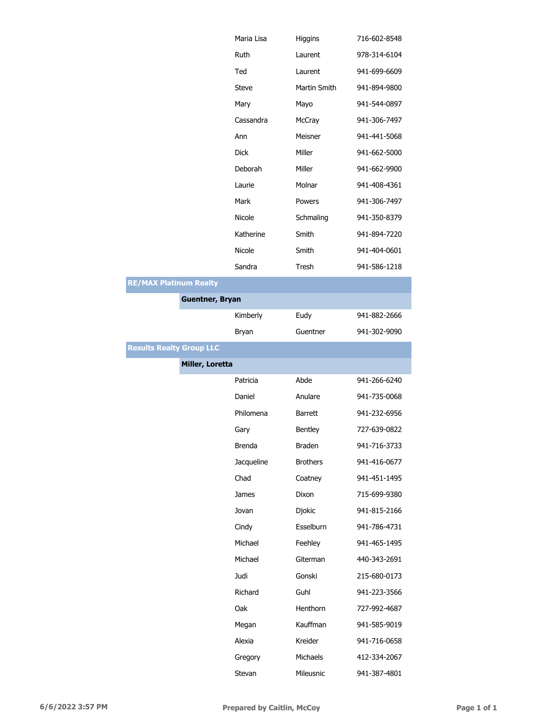|                                 |                        | Maria Lisa    | Higgins         | 716-602-8548 |
|---------------------------------|------------------------|---------------|-----------------|--------------|
|                                 |                        | Ruth          | Laurent         | 978-314-6104 |
|                                 |                        | Ted           | Laurent         | 941-699-6609 |
|                                 |                        | <b>Steve</b>  | Martin Smith    | 941-894-9800 |
|                                 |                        | Mary          | Mayo            | 941-544-0897 |
|                                 |                        | Cassandra     | McCray          | 941-306-7497 |
|                                 |                        | Ann           | Meisner         | 941-441-5068 |
|                                 |                        | <b>Dick</b>   | Miller          | 941-662-5000 |
|                                 |                        | Deborah       | Miller          | 941-662-9900 |
|                                 |                        | Laurie        | Molnar          | 941-408-4361 |
|                                 |                        | Mark          | Powers          | 941-306-7497 |
|                                 |                        | Nicole        | Schmaling       | 941-350-8379 |
|                                 |                        | Katherine     | Smith           | 941-894-7220 |
|                                 |                        | Nicole        | Smith           | 941-404-0601 |
|                                 |                        | Sandra        | Tresh           | 941-586-1218 |
| <b>RE/MAX Platinum Realty</b>   |                        |               |                 |              |
|                                 | <b>Guentner, Bryan</b> |               |                 |              |
|                                 |                        | Kimberly      | Eudy            | 941-882-2666 |
|                                 |                        | Bryan         | Guentner        | 941-302-9090 |
| <b>Results Realty Group LLC</b> |                        |               |                 |              |
|                                 | Miller, Loretta        |               |                 |              |
|                                 |                        | Patricia      | Abde            | 941-266-6240 |
|                                 |                        | Daniel        | Anulare         | 941-735-0068 |
|                                 |                        | Philomena     | <b>Barrett</b>  | 941-232-6956 |
|                                 |                        | Gary          | Bentley         | 727-639-0822 |
|                                 |                        | <b>Brenda</b> | <b>Braden</b>   | 941-716-3733 |
|                                 |                        | Jacqueline    | <b>Brothers</b> | 941-416-0677 |
|                                 |                        | Chad          | Coatney         | 941-451-1495 |
|                                 |                        | <b>James</b>  | Dixon           | 715-699-9380 |
|                                 |                        | Jovan         | Djokic          | 941-815-2166 |
|                                 |                        | Cindy         | Esselburn       | 941-786-4731 |
|                                 |                        | Michael       | Feehley         | 941-465-1495 |
|                                 |                        | Michael       | Giterman        | 440-343-2691 |
|                                 |                        | Judi          | Gonski          | 215-680-0173 |
|                                 |                        | Richard       | Guhl            | 941-223-3566 |
|                                 |                        | Oak           | Henthorn        | 727-992-4687 |
|                                 |                        | Megan         | Kauffman        | 941-585-9019 |
|                                 |                        | Alexia        | Kreider         | 941-716-0658 |
|                                 |                        | Gregory       | Michaels        | 412-334-2067 |
|                                 |                        | Stevan        | Mileusnic       | 941-387-4801 |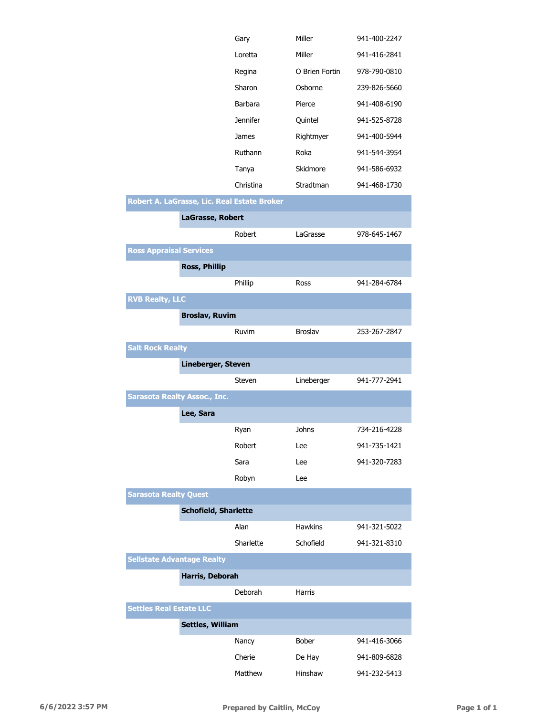|                                     |                             | Gary                                        | Miller         | 941-400-2247 |
|-------------------------------------|-----------------------------|---------------------------------------------|----------------|--------------|
|                                     |                             | Loretta                                     | Miller         | 941-416-2841 |
|                                     |                             | Regina                                      | O Brien Fortin | 978-790-0810 |
|                                     |                             | Sharon                                      | Osborne        | 239-826-5660 |
|                                     |                             | <b>Barbara</b>                              | Pierce         | 941-408-6190 |
|                                     |                             | <b>Jennifer</b>                             | Quintel        | 941-525-8728 |
|                                     |                             | James                                       | Rightmyer      | 941-400-5944 |
|                                     |                             | Ruthann                                     | Roka           | 941-544-3954 |
|                                     |                             | Tanya                                       | Skidmore       | 941-586-6932 |
|                                     |                             | Christina                                   | Stradtman      | 941-468-1730 |
|                                     |                             | Robert A. LaGrasse, Lic. Real Estate Broker |                |              |
|                                     | LaGrasse, Robert            |                                             |                |              |
|                                     |                             | Robert                                      | LaGrasse       | 978-645-1467 |
| <b>Ross Appraisal Services</b>      |                             |                                             |                |              |
|                                     | <b>Ross, Phillip</b>        |                                             |                |              |
|                                     |                             | Phillip                                     | Ross           | 941-284-6784 |
| <b>RVB Realty, LLC</b>              |                             |                                             |                |              |
|                                     | <b>Broslav, Ruvim</b>       |                                             |                |              |
|                                     |                             | Ruvim                                       | <b>Broslav</b> | 253-267-2847 |
| <b>Salt Rock Realty</b>             |                             |                                             |                |              |
|                                     | Lineberger, Steven          |                                             |                |              |
|                                     |                             |                                             |                |              |
|                                     |                             | Steven                                      | Lineberger     | 941-777-2941 |
| <b>Sarasota Realty Assoc., Inc.</b> |                             |                                             |                |              |
|                                     | Lee, Sara                   |                                             |                |              |
|                                     |                             | Ryan                                        | Johns          | 734-216-4228 |
|                                     |                             | Robert                                      | Lee            | 941-735-1421 |
|                                     |                             | Sara                                        | Lee            | 941-320-7283 |
|                                     |                             | Robyn                                       | Lee            |              |
| <b>Sarasota Realty Quest</b>        |                             |                                             |                |              |
|                                     | <b>Schofield, Sharlette</b> |                                             |                |              |
|                                     |                             | Alan                                        | Hawkins        | 941-321-5022 |
|                                     |                             | Sharlette                                   | Schofield      | 941-321-8310 |
| <b>Sellstate Advantage Realty</b>   |                             |                                             |                |              |
|                                     | Harris, Deborah             |                                             |                |              |
|                                     |                             | Deborah                                     | Harris         |              |
| <b>Settles Real Estate LLC</b>      |                             |                                             |                |              |
|                                     | <b>Settles, William</b>     |                                             |                |              |
|                                     |                             | Nancy                                       | Bober          | 941-416-3066 |

Matthew Hinshaw 941-232-5413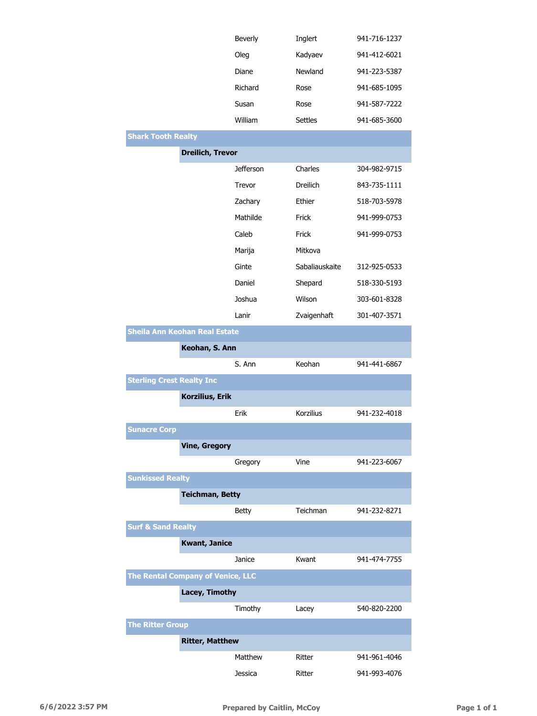|                                          |                         | Beverly          | Inglert         | 941-716-1237 |
|------------------------------------------|-------------------------|------------------|-----------------|--------------|
|                                          |                         | Oleg             | Kadyaev         | 941-412-6021 |
|                                          |                         | Diane            | Newland         | 941-223-5387 |
|                                          |                         | Richard          | Rose            | 941-685-1095 |
|                                          |                         | Susan            | Rose            | 941-587-7222 |
|                                          |                         | William          | <b>Settles</b>  | 941-685-3600 |
| <b>Shark Tooth Realty</b>                |                         |                  |                 |              |
|                                          | <b>Dreilich, Trevor</b> |                  |                 |              |
|                                          |                         | <b>Jefferson</b> | Charles         | 304-982-9715 |
|                                          |                         | Trevor           | <b>Dreilich</b> | 843-735-1111 |
|                                          |                         | Zachary          | Ethier          | 518-703-5978 |
|                                          |                         | Mathilde         | Frick           | 941-999-0753 |
|                                          |                         | Caleb            | Frick           | 941-999-0753 |
|                                          |                         | Marija           | Mitkova         |              |
|                                          |                         | Ginte            | Sabaliauskaite  | 312-925-0533 |
|                                          |                         | Daniel           | Shepard         | 518-330-5193 |
|                                          |                         | Joshua           | Wilson          | 303-601-8328 |
|                                          |                         | Lanir            | Zvaigenhaft     | 301-407-3571 |
| Sheila Ann Keohan Real Estate            |                         |                  |                 |              |
|                                          | Keohan, S. Ann          |                  |                 |              |
|                                          |                         | S. Ann           | Keohan          | 941-441-6867 |
| <b>Sterling Crest Realty Inc</b>         |                         |                  |                 |              |
|                                          | Korzilius, Erik         |                  |                 |              |
|                                          |                         | Erik             | Korzilius       | 941-232-4018 |
| <b>Sunacre Corp</b>                      |                         |                  |                 |              |
|                                          | <b>Vine, Gregory</b>    |                  |                 |              |
|                                          |                         | Gregory          | Vine            | 941-223-6067 |
| <b>Sunkissed Realty</b>                  |                         |                  |                 |              |
|                                          | <b>Teichman, Betty</b>  |                  |                 |              |
|                                          |                         | <b>Betty</b>     | Teichman        | 941-232-8271 |
| <b>Surf &amp; Sand Realty</b>            |                         |                  |                 |              |
|                                          | <b>Kwant, Janice</b>    |                  |                 |              |
|                                          |                         | Janice           | Kwant           | 941-474-7755 |
| <b>The Rental Company of Venice, LLC</b> |                         |                  |                 |              |
|                                          | Lacey, Timothy          |                  |                 |              |
|                                          |                         | Timothy          | Lacey           | 540-820-2200 |
| <b>The Ritter Group</b>                  |                         |                  |                 |              |
|                                          | <b>Ritter, Matthew</b>  |                  |                 |              |
|                                          |                         | Matthew          | Ritter          | 941-961-4046 |
|                                          |                         | Jessica          | Ritter          | 941-993-4076 |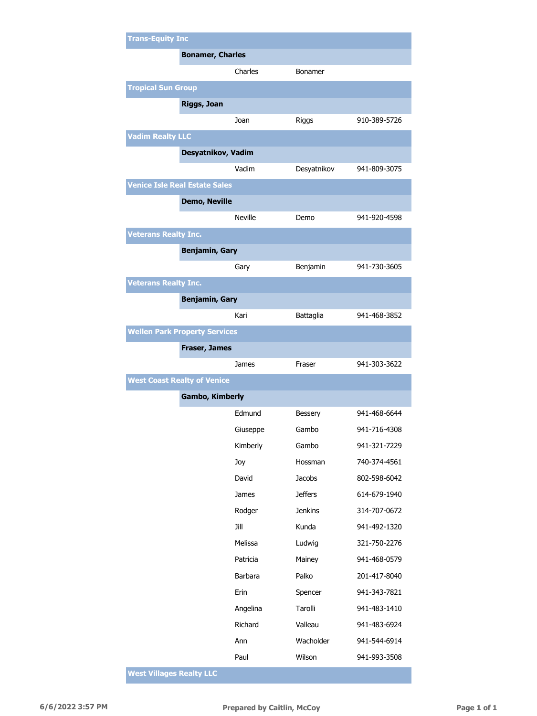| <b>Trans-Equity Inc</b>              |                    |                |              |
|--------------------------------------|--------------------|----------------|--------------|
| <b>Bonamer, Charles</b>              |                    |                |              |
|                                      | Charles            | Bonamer        |              |
| <b>Tropical Sun Group</b>            |                    |                |              |
| Riggs, Joan                          |                    |                |              |
|                                      | Joan               | Riggs          | 910-389-5726 |
| <b>Vadim Realty LLC</b>              |                    |                |              |
|                                      | Desyatnikov, Vadim |                |              |
|                                      | Vadim              | Desyatnikov    | 941-809-3075 |
| <b>Venice Isle Real Estate Sales</b> |                    |                |              |
| <b>Demo, Neville</b>                 |                    |                |              |
|                                      | <b>Neville</b>     | Demo           | 941-920-4598 |
| <b>Veterans Realty Inc.</b>          |                    |                |              |
| <b>Benjamin, Gary</b>                |                    |                |              |
|                                      | Gary               | Benjamin       | 941-730-3605 |
| <b>Veterans Realty Inc.</b>          |                    |                |              |
| <b>Benjamin, Gary</b>                |                    |                |              |
|                                      | Kari               | Battaglia      | 941-468-3852 |
| <b>Wellen Park Property Services</b> |                    |                |              |
| <b>Fraser, James</b>                 |                    |                |              |
|                                      | James              | Fraser         | 941-303-3622 |
| <b>West Coast Realty of Venice</b>   |                    |                |              |
| <b>Gambo, Kimberly</b>               |                    |                |              |
|                                      | Edmund             | Bessery        | 941-468-6644 |
|                                      | Giuseppe           | Gambo          | 941-716-4308 |
|                                      | Kimberly           | Gambo          | 941-321-7229 |
|                                      | Joy                | Hossman        | 740-374-4561 |
|                                      | David              | Jacobs         | 802-598-6042 |
|                                      | James              | <b>Jeffers</b> | 614-679-1940 |
|                                      | Rodger             | <b>Jenkins</b> | 314-707-0672 |
|                                      | Jill               | Kunda          | 941-492-1320 |
|                                      | Melissa            | Ludwig         | 321-750-2276 |
|                                      | Patricia           | Mainey         | 941-468-0579 |
|                                      | Barbara            | Palko          | 201-417-8040 |
|                                      | Erin               | Spencer        | 941-343-7821 |
|                                      | Angelina           | Tarolli        | 941-483-1410 |
|                                      | Richard            | Valleau        | 941-483-6924 |
|                                      | Ann                | Wacholder      | 941-544-6914 |
|                                      | Paul               | Wilson         | 941-993-3508 |

**West Villages Realty LLC**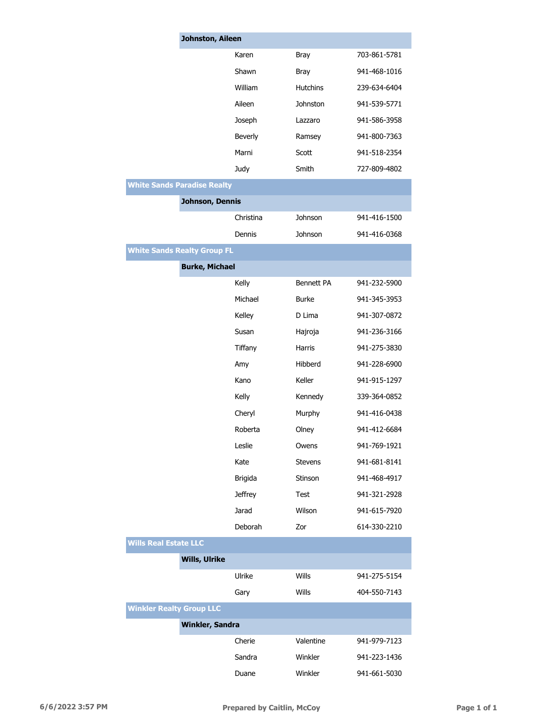|                                    | Johnston, Aileen |                   |              |  |
|------------------------------------|------------------|-------------------|--------------|--|
|                                    | Karen            | <b>Bray</b>       | 703-861-5781 |  |
|                                    | Shawn            | <b>Bray</b>       | 941-468-1016 |  |
|                                    | William          | <b>Hutchins</b>   | 239-634-6404 |  |
|                                    | Aileen           | Johnston          | 941-539-5771 |  |
|                                    | Joseph           | Lazzaro           | 941-586-3958 |  |
|                                    | Beverly          | Ramsey            | 941-800-7363 |  |
|                                    | Marni            | Scott             | 941-518-2354 |  |
|                                    | Judy             | Smith             | 727-809-4802 |  |
| <b>White Sands Paradise Realty</b> |                  |                   |              |  |
| Johnson, Dennis                    |                  |                   |              |  |
|                                    | Christina        | Johnson           | 941-416-1500 |  |
|                                    | Dennis           | Johnson           | 941-416-0368 |  |
| <b>White Sands Realty Group FL</b> |                  |                   |              |  |
| <b>Burke, Michael</b>              |                  |                   |              |  |
|                                    | Kelly            | <b>Bennett PA</b> | 941-232-5900 |  |
|                                    | Michael          | <b>Burke</b>      | 941-345-3953 |  |
|                                    | Kelley           | D Lima            | 941-307-0872 |  |
|                                    | Susan            | Hajroja           | 941-236-3166 |  |
|                                    | Tiffany          | <b>Harris</b>     | 941-275-3830 |  |
|                                    | Amy              | Hibberd           | 941-228-6900 |  |
|                                    | Kano             | Keller            | 941-915-1297 |  |
|                                    | Kelly            | Kennedy           | 339-364-0852 |  |
|                                    | Cheryl           | Murphy            | 941-416-0438 |  |
|                                    | Roberta          | Olney             | 941-412-6684 |  |
|                                    | Leslie           | Owens             | 941-769-1921 |  |
|                                    | Kate             | <b>Stevens</b>    | 941-681-8141 |  |
|                                    | <b>Brigida</b>   | Stinson           | 941-468-4917 |  |
|                                    | <b>Jeffrey</b>   | <b>Test</b>       | 941-321-2928 |  |
|                                    | Jarad            | Wilson            | 941-615-7920 |  |
|                                    | Deborah          | Zor               | 614-330-2210 |  |
| <b>Wills Real Estate LLC</b>       |                  |                   |              |  |
| <b>Wills, Ulrike</b>               |                  |                   |              |  |
|                                    | Ulrike           | Wills             | 941-275-5154 |  |
|                                    | Gary             | Wills             | 404-550-7143 |  |
| <b>Winkler Realty Group LLC</b>    |                  |                   |              |  |
| Winkler, Sandra                    |                  |                   |              |  |
|                                    | Cherie           | Valentine         | 941-979-7123 |  |
|                                    | Sandra           | Winkler           | 941-223-1436 |  |
|                                    | Duane            | Winkler           | 941-661-5030 |  |